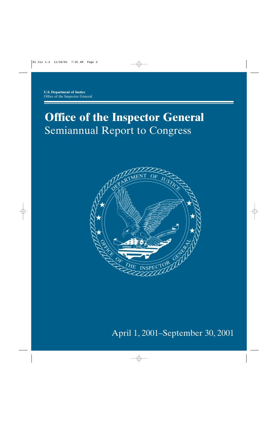# **Office of the Inspector General** Semiannual Report to Congress



April 1, 2001–September 30, 2001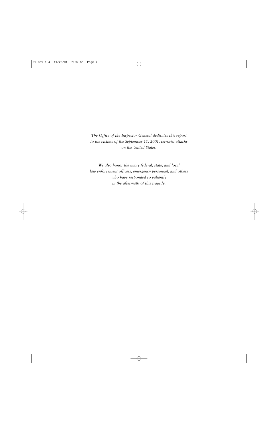*The Office of the Inspector General dedicates this report to the victims of the September 11, 2001, terrorist attacks on the United States.*

*We also honor the many federal, state, and local law enforcement officers, emergency personnel, and others who have responded so valiantly in the aftermath of this tragedy.*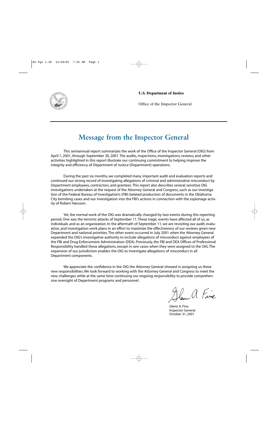

Office of the Inspector General

# **Message from the Inspector General**

This semiannual report summarizes the work of the Office of the Inspector General (OIG) from April 1, 2001, through September 30, 2001. The audits, inspections, investigations, reviews, and other activities highlighted in this report illustrate our continuing commitment to helping improve the integrity and efficiency of Department of Justice (Department) operations.

During the past six months, we completed many important audit and evaluation reports and continued our strong record of investigating allegations of criminal and administrative misconduct by Department employees, contractors, and grantees. This report also describes several sensitive OIG investigations undertaken at the request of the Attorney General and Congress, such as our investigation of the Federal Bureau of Investigation's (FBI) belated production of documents in the Oklahoma City bombing cases and our investigation into the FBI's actions in connection with the espionage activity of Robert Hanssen.

Yet, the normal work of the OIG was dramatically changed by two events during this reporting period. One was the terrorist attacks of September 11. These tragic events have affected all of us, as individuals and as an organization. In the aftermath of September 11, we are revisiting our audit, evaluation, and investigation work plans in an effort to maximize the effectiveness of our reviews given new Department and national priorities. The other event occurred in July 2001 when the Attorney General expanded the OIG's investigative authority to include allegations of misconduct against employees of the FBI and Drug Enforcement Administration (DEA). Previously, the FBI and DEA Offices of Professional Responsibility handled these allegations, except in rare cases when they were assigned to the OIG. The expansion of our jurisdiction enables the OIG to investigate allegations of misconduct in all Department components.

We appreciate the confidence in the OIG the Attorney General showed in assigning us these new responsibilities. We look forward to working with the Attorney General and Congress to meet the new challenges while at the same time continuing our ongoing responsibility to provide comprehensive oversight of Department programs and personnel.

Hey a Fine

Glenn A. Fine Inspector General October 31, 2001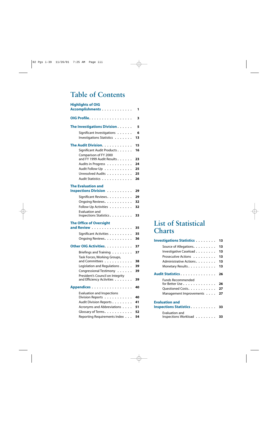# **Table of Contents**

| <b>Highlights of OIG</b><br>Accomplishments         | 1        |
|-----------------------------------------------------|----------|
| OIG Profile<br>.                                    | 3        |
| The Investigations Division                         | 5        |
| Significant Investigations $\dots \dots$            | 6        |
| Investigations Statistics                           | 13       |
| The Audit Division.                                 | 15       |
| Significant Audit Products<br>Comparison of FY 2000 | 16       |
| and FY 1999 Audit Results                           | 23       |
| Audits in Progress                                  | 24       |
| Audit Follow-Up                                     | 25       |
| Unresolved Audits                                   | 25       |
| Audit Statistics                                    | 26       |
| <b>The Evaluation and</b>                           |          |
| <b>Inspections Division </b>                        | 29       |
| Significant Reviews.                                | 29       |
| Ongoing Reviews.                                    | 32       |
| Follow-Up Activities                                | 32       |
| <b>Evaluation and</b><br>Inspections Statistics     | 33       |
| <b>The Office of Oversight</b>                      |          |
| and Review                                          | 35       |
| Significant Activities                              | 35       |
| Ongoing Reviews.                                    | 36       |
| Other OIG Activities.                               | 37       |
| Briefings and Training $\dots \dots$                | 37       |
| Task Forces, Working Groups,<br>and Committees      |          |
| Legislation and Regulations                         | 38<br>39 |
| Congressional Testimony .                           | 39       |
| President's Council on Integrity                    |          |
| and Efficiency Activities .                         | 39       |
| <b>Appendices.</b>                                  | 40       |
| <b>Evaluation and Inspections</b>                   |          |
| Division Reports                                    | 40       |
| Audit Division Reports                              | 41       |
| Acronyms and Abbreviations                          | 51       |
| Glossary of Terms.                                  | 52       |
| Reporting Requirements Index.                       | 54       |

# **List of Statistical Charts**

| <b>Investigations Statistics </b>                       | 13 |
|---------------------------------------------------------|----|
| Source of Allegations.                                  | 13 |
| Investigative Caseload                                  | 13 |
| Prosecutive Actions                                     | 13 |
| Administrative Actions                                  | 13 |
| Monetary Results.                                       | 13 |
| <b>Audit Statistics</b>                                 | 26 |
| Funds Recommended<br>for Better Use                     | 26 |
| Questioned Costs.                                       | 27 |
| Management Improvements                                 | 27 |
| <b>Evaluation and</b><br><b>Inspections Statistics </b> | 33 |
|                                                         |    |
| Evaluation and<br>Inspections Workload 33               |    |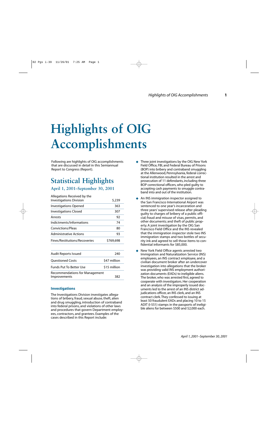# **Highlights of OIG Accomplishments**

Following are highlights of OIG accomplishments that are discussed in detail in this Semiannual Report to Congress (Report).

# **Statistical Highlights April 1, 2001–September 30, 2001**

| Allegations Received by the    |              |
|--------------------------------|--------------|
| <b>Investigations Division</b> | 5,239        |
| <b>Investigations Opened</b>   | 363          |
| <b>Investigations Closed</b>   | 307          |
| Arrests                        | 92           |
| Indictments/Informations       | 74           |
| Convictions/Pleas              | 80           |
| Administrative Actions         | 93           |
| Fines/Restitutions/Recoveries  | \$769,698    |
| Audit Reports Issued           | 240          |
| <b>Ouestioned Costs</b>        | \$47 million |
| Funds Put To Better Use        | \$15 million |

# **Investigations**

The Investigations Division investigates allegations of bribery, fraud, sexual abuse, theft, alien and drug smuggling, introduction of contraband into federal prisons, and violations of other laws and procedures that govern Department employees, contractors, and grantees. Examples of the cases described in this Report include:

Improvements 382

Recommendations for Management

- ◆ Three joint investigations by the OIG New York Field Office, FBI, and Federal Bureau of Prisons (BOP) into bribery and contraband smuggling at the Allenwood, Pennsylvania, federal correctional institution resulted in the arrest and prosecution of 11 defendants, including three BOP correctional officers, who pled guilty to accepting cash payments to smuggle contraband into and out of the institution.
- ◆ An INS immigration inspector assigned to the San Francisco International Airport was sentenced to one year's incarceration and three years' supervised release after pleading guilty to charges of bribery of a public official; fraud and misuse of visas, permits, and other documents; and theft of public property. A joint investigation by the OIG San Francisco Field Office and the INS revealed that the immigration inspector stole two INS immigration stamps and two bottles of security ink and agreed to sell those items to confidential informants for \$85,000.
- New York Field Office agents arrested two Immigration and Naturalization Service (INS) employees, an INS contract employee, and a civilian document broker after an undercover investigation into allegations that the broker was providing valid INS employment authorization documents (EADs) to ineligible aliens. The broker, who was arrested first, agreed to cooperate with investigators. Her cooperation and an analysis of the improperly issued documents led to the arrest of an INS district adjudications officer, an INS clerk, and an INS contract clerk.They confessed to issuing at least 50 fraudulent EADs and placing 10 to 15 ADIT (I-551) stamps in the passports of ineligible aliens for between \$500 and \$2,000 each.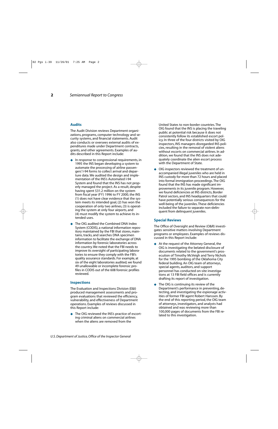### **Audits**

The Audit Division reviews Department organizations, programs, computer technology and security systems, and financial statements. Audit also conducts or oversees external audits of expenditures made under Department contracts, grants, and other agreements. Examples of audits described in this Report include:

- ◆ In response to congressional requirements, in 1995 the INS began developing a system to automate the processing of airline passengers' I-94 forms to collect arrival and departure data. We audited the design and implementation of the INS's Automated I-94 System and found that the INS has not properly managed the project. As a result, despite having spent \$31.2 million on the system from fiscal year (FY) 1996 to FY 2000, the INS (1) does not have clear evidence that the system meets its intended goal, (2) has won the cooperation of only two airlines, (3) is operating the system at only four airports, and (4) must modify the system to achieve its intended uses.
- ◆ The OIG audited the Combined DNA Index System (CODIS), a national information repository maintained by the FBI that stores, maintains, tracks, and searches DNA specimen information to facilitate the exchange of DNA information by forensic laboratories across the country. We noted that the FBI needs to improve its oversight of participating laboratories to ensure they comply with the FBI's quality assurance standards. For example, at six of the eight laboratories audited, we found 49 unallowable or incomplete forensic profiles in CODIS out of the 608 forensic profiles reviewed.

### **Inspections**

The Evaluation and Inspections Division (E&I) produced management assessments and program evaluations that reviewed the efficiency, vulnerability, and effectiveness of Department operations. Examples of reviews discussed in this Report include:

◆ The OIG reviewed the INS's practice of escorting criminal aliens on commercial airlines when the aliens are removed from the

United States to non-border countries. The OIG found that the INS is placing the traveling public at potential risk because it does not consistently follow its established escort policy. In three of the four districts visited by OIG inspectors, INS managers disregarded INS policies, resulting in the removal of violent aliens without escorts on commercial airlines. In addition, we found that the INS does not adequately coordinate the alien escort process with the Department of State.

OIG inspectors reviewed the treatment of unaccompanied illegal juveniles who are held in INS custody for more than 72 hours and placed into formal immigration proceedings. The OIG found that the INS has made significant improvements in its juvenile program. However, we found deficiencies at INS districts, Border Patrol sectors, and INS headquarters that could have potentially serious consequences for the well-being of the juveniles. These deficiencies included the failure to separate non-delinquent from delinquent juveniles.

### **Special Reviews**

The Office of Oversight and Review (O&R) investigates sensitive matters involving Department programs or employees. Examples of reviews discussed in this Report include:

- ◆ At the request of the Attorney General, the OIG is investigating the belated disclosure of documents related to the government's prosecution of Timothy McVeigh and Terry Nichols for the 1995 bombing of the Oklahoma City federal building. An OIG team of attorneys, special agents, auditors, and support personnel has conducted on-site investigations at 13 FBI field offices and is currently drafting its report of investigation.
- ◆ The OIG is continuing its review of the Department's performance in preventing, detecting, and investigating the espionage activities of former FBI agent Robert Hanssen. By the end of this reporting period, the OIG team of attorneys, investigators, and analysts had obtained and was reviewing more than 100,000 pages of documents from the FBI related to this investigation.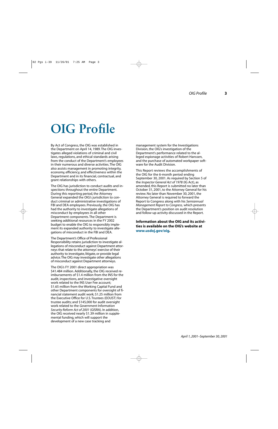# **OIG Profile**

By Act of Congress, the OIG was established in the Department on April 14, 1989. The OIG investigates alleged violations of criminal and civil laws, regulations, and ethical standards arising from the conduct of the Department's employees in their numerous and diverse activities. The OIG also assists management in promoting integrity, economy, efficiency, and effectiveness within the Department and in its financial, contractual, and grant relationships with others.

The OIG has jurisdiction to conduct audits and inspections throughout the entire Department. During this reporting period, the Attorney General expanded the OIG's jurisdiction to conduct criminal or administrative investigations of FBI and DEA employees. Previously, the OIG has had the authority to investigate allegations of misconduct by employees in all other Department components. The Department is seeking additional resources in the FY 2002 budget to enable the OIG to responsibly implement its expanded authority to investigate allegations of misconduct in the FBI and DEA.

The Department's Office of Professional Responsibility retains jurisdiction to investigate allegations of misconduct against Department attorneys that relate to the attorneys' exercise of their authority to investigate, litigate, or provide legal advice.The OIG may investigate other allegations of misconduct against Department attorneys.

The OIG's FY 2001 direct appropriation was \$41.484 million. Additionally, the OIG received reimbursements of \$1.4 million from the INS for the audit, inspections, and investigative oversight work related to the INS User Fee account; \$1.65 million from the Working Capital Fund and other Department components for oversight of financial statement audit work; \$1.25 million from the Executive Office for U.S. Trustees (EOUST) for trustee audits; and \$145,000 for audit oversight work related to the *Government Information Security Reform Act of 2001* (GISRA). In addition, the OIG received nearly \$1.39 million in supplemental funding, which will support the development of a new case tracking and

management system for the Investigations Division, the OIG's investigation of the Department's performance related to the alleged espionage activities of Robert Hanssen, and the purchase of automated workpaper software for the Audit Division.

This Report reviews the accomplishments of the OIG for the 6-month period ending September 30, 2001. As required by Section 5 of the *Inspector General Act of 1978* (IG Act), as amended, this Report is submitted no later than October 31, 2001, to the Attorney General for his review. No later than November 30, 2001, the Attorney General is required to forward the Report to Congress along with his *Semiannual Management Report to Congress,* which presents the Department's position on audit resolution and follow-up activity discussed in the Report.

**Information about the OIG and its activities is available on the OIG's website at www.usdoj.gov/oig.**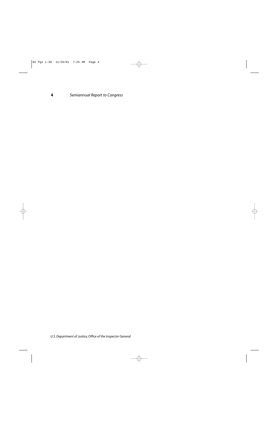**4** *Semiannual Report to Congress*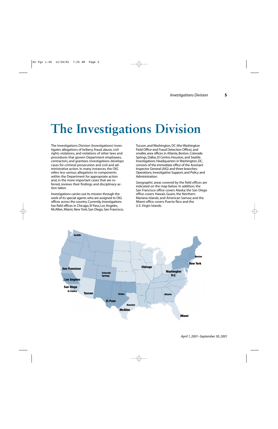# **The Investigations Division**

The Investigations Division (Investigations) investigates allegations of bribery, fraud, abuse, civil rights violations, and violations of other laws and procedures that govern Department employees, contractors, and grantees. Investigations develops cases for criminal prosecution and civil and administrative action. In many instances, the OIG refers less serious allegations to components within the Department for appropriate action and, in the more important cases that are referred, reviews their findings and disciplinary action taken.

Investigations carries out its mission through the work of its special agents who are assigned to OIG offices across the country. Currently, Investigations has field offices in Chicago, El Paso, Los Angeles, McAllen, Miami, New York, San Diego, San Francisco, Tucson, and Washington, DC (the Washington Field Office and Fraud Detection Office), and smaller, area offices in Atlanta, Boston, Colorado Springs, Dallas, El Centro, Houston, and Seattle. Investigations Headquarters in Washington, DC, consists of the immediate office of the Assistant Inspector General (AIG) and three branches: Operations, Investigative Support, and Policy and Administration.

Geographic areas covered by the field offices are indicated on the map below. In addition, the San Francisco office covers Alaska; the San Diego office covers Hawaii, Guam, the Northern Mariana Islands, and American Samoa; and the Miami office covers Puerto Rico and the U.S. Virgin Islands.

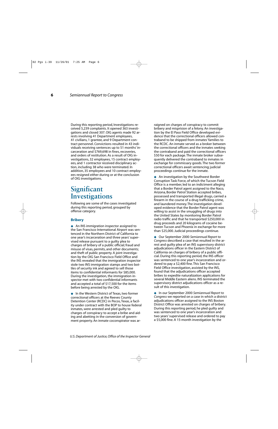During this reporting period, Investigations received 5,239 complaints. It opened 363 investigations and closed 307. OIG agents made 92 arrests involving 41 Department employees, 41 civilians, 1 grantee, and 9 Department contract personnel. Convictions resulted in 43 individuals receiving sentences up to 51 months' incarceration and \$769,698 in fines, recoveries, and orders of restitution. As a result of OIG investigations, 32 employees, 15 contract employees, and 1 contractor received disciplinary action, including 38 who were terminated. In addition, 35 employees and 10 contract employees resigned either during or at the conclusion of OIG investigations.

# **Significant Investigations**

Following are some of the cases investigated during this reporting period, grouped by offense category.

## **Bribery**

◆ An INS immigration inspector assigned to the San Francisco International Airport was sentenced in the Northern District of California to one year's incarceration and three years' supervised release pursuant to a guilty plea to charges of bribery of a public official; fraud and misuse of visas, permits, and other documents; and theft of public property. A joint investigation by the OIG San Francisco Field Office and the INS revealed that the immigration inspector stole two INS immigration stamps and two bottles of security ink and agreed to sell those items to confidential informants for \$85,000. During the investigation, the immigration inspector met with two confidential informants and accepted a total of \$17,500 for the items before being arrested by the OIG.

◆ In the Western District of Texas, two former correctional officers at the Reeves County Detention Center (RCDC) in Pecos, Texas, a facility under contract with the BOP to house federal inmates, were arrested and pled guilty to charges of conspiracy to accept a bribe and aiding and abetting in the conversion of government property. An inmate coconspirator was arraigned on charges of conspiracy to commit bribery and misprision of a felony. An investigation by the El Paso Field Office developed evidence that the correctional officers allowed contraband to be shipped from inmates' families to the RCDC. An inmate served as a broker between the correctional officers and the inmates seeking the contraband and paid the correctional officers \$50 for each package. The inmate broker subsequently delivered the contraband to inmates in exchange for commissary goods. The two former correctional officers await sentencing; judicial proceedings continue for the inmate.

◆ An investigation by the Southwest Border Corruption Task Force, of which the Tucson Field Office is a member, led to an indictment alleging that a Border Patrol agent assigned to the Naco, Arizona, Border Patrol Station accepted bribes, possessed and transported illegal drugs, carried a firearm in the course of a drug trafficking crime, and laundered money. The investigation developed evidence that the Border Patrol agent was willing to assist in the smuggling of drugs into the United States by monitoring Border Patrol radio traffic and that he transported \$250,000 in drug proceeds and 20 kilograms of cocaine between Tucson and Phoenix in exchange for more than \$25,000. Judicial proceedings continue.

◆ Our September 2000 *Semiannual Report to Congress* described a case that resulted in the arrest and guilty plea of an INS supervisory district adjudications officer in the Eastern District of California on charges of bribery of a public official. During this reporting period, the INS officer was sentenced to one year's incarceration and ordered to pay a \$2,400 fine. This San Francisco Field Office investigation, assisted by the INS, found that the adjudications officer accepted bribes to expedite naturalization applications for several Middle Eastern aliens. INS terminated the supervisory district adjudications officer as a result of this investigation.

◆ In our September 2000 *Semiannual Report to Congress* we reported on a case in which a district adjudications officer assigned to the INS Boston District Office was arrested on charges of bribery. During this reporting period, he pled guilty and was sentenced to one year's incarceration and two years' supervised release and ordered to pay a \$5,000 fine. A 15-month investigation by the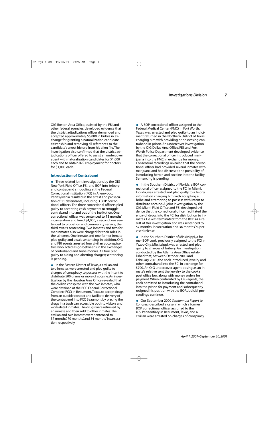OIG Boston Area Office, assisted by the FBI and other federal agencies, developed evidence that the district adjudications officer demanded and accepted approximately \$5,000 in bribes in exchange for granting a naturalization candidate citizenship and removing all references to the candidate's arrest history from his alien file. The investigation also confirmed that the district adjudications officer offered to assist an undercover agent with naturalization candidates for \$1,000 each and to obtain INS employment for doctors for \$1,000 each.

## **Introduction of Contraband**

◆ Three related joint investigations by the OIG New York Field Office, FBI, and BOP into bribery and contraband smuggling at the Federal Correctional Institution (FCI) in Allenwood, Pennsylvania resulted in the arrest and prosecution of 11 defendants, including 3 BOP correctional officers. The three correctional officers pled guilty to accepting cash payments to smuggle contraband into and out of the institution. One correctional officer was sentenced to 18 months' incarceration and fined \$4,000; a second was sentenced to probation and community service; the third awaits sentencing. Two inmates and two former inmates also were charged for their roles in the schemes. One inmate and one former inmate pled guilty and await sentencing. In addition, OIG and FBI agents arrested four civilian coconspirators who acted as go-betweens in the exchanges of contraband and bribe monies. All four pled guilty to aiding and abetting charges; sentencing is pending.

◆ In the Eastern District of Texas, a civilian and two inmates were arrested and pled guilty to charges of conspiracy to possess with the intent to distribute 500 grams or more of cocaine. An investigation by the Houston Area Office revealed that the civilian conspired with the two inmates, who were detained at the BOP Federal Correctional Complex (FCC) in Beaumont,Texas, to accept drugs from an outside contact and facilitate delivery of the contraband into FCC Beaumont by placing the drugs in a trash can accessible both to visitors and work-detail inmates.The drugs were retrieved by an inmate and then sold to other inmates.The civilian and two inmates were sentenced to 37 months', 70 months', and 84 months' incarceration, respectively.

◆ A BOP correctional officer assigned to the Federal Medical Center (FMC) in Fort Worth, Texas, was arrested and pled guilty to an indictment returned in the Northern District of Texas charging him with providing or possessing contraband in prison. An undercover investigation by the OIG Dallas Area Office, FBI, and Fort Worth Police Department developed evidence that the correctional officer introduced marijuana into the FMC in exchange for money. Consensual recordings revealed that the correctional officer had provided several inmates with marijuana and had discussed the possibility of introducing heroin and cocaine into the facility. Sentencing is pending.

◆ In the Southern District of Florida, a BOP correctional officer assigned to the FCI in Miami, Florida, was arrested and pled guilty to a felony information charging him with accepting a bribe and attempting to possess with intent to distribute cocaine. A joint investigation by the OIG Miami Field Office and FBI developed evidence that the correctional officer facilitated the entry of drugs into the FCI for distribution to inmates. He was terminated from the BOP as a result of this investigation and was sentenced to 57 months' incarceration and 36 months' supervised release.

◆ In the Southern District of Mississippi, a former BOP cook, previously assigned to the FCI in Yazoo City, Mississippi, was arrested and pled guilty to charges of bribery. An investigation conducted by the Atlanta Area Office established that, between October 2000 and February 2001, the cook introduced jewelry and other contraband into the FCI in exchange for \$700. An OIG undercover agent posing as an inmate's relative sent the jewelry to the cook's post office box along with money orders for payment. When confronted by OIG agents, the cook admitted to introducing the contraband into the prison for payment and subsequently resigned his position with the BOP. Judicial proceedings continue.

◆ Our September 2000 *Semiannual Report to Congress* described a case in which a former BOP correctional officer assigned to the U.S. Penitentiary in Beaumont, Texas, and a civilian were arrested on charges of conspiracy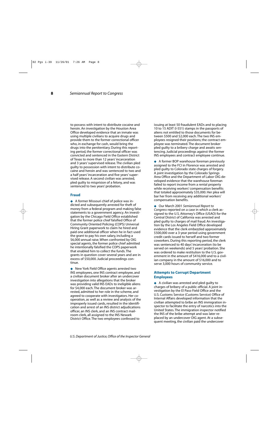to possess with intent to distribute cocaine and heroin. An investigation by the Houston Area Office developed evidence that an inmate was using multiple civilians to acquire drugs and provide them to the former correctional officer who, in exchange for cash, would bring the drugs into the penitentiary. During this reporting period, the former correctional officer was convicted and sentenced in the Eastern District of Texas to more than 12 years' incarceration and 3 years' supervised release. The civilian pled guilty to possession with intent to distribute cocaine and heroin and was sentenced to two and a half years' incarceration and five years' supervised release. A second civilian was arrested, pled guilty to misprision of a felony, and was sentenced to two years' probation.

## **Fraud**

◆ A former Missouri chief of police was indicted and subsequently arrested for theft of money from a federal program and making false statements to a government agency. An investigation by the Chicago Field Office established that the former police chief falsified Office of Community Oriented Policing (COPS) Universal Hiring Grant paperwork to claim he hired and paid one additional officer when he in fact used the grant to pay his own salary, including a \$6,000 annual raise. When confronted by OIG special agents, the former police chief admitted he intentionally falsified the COPS paperwork that enabled him to collect the funds. The grants in question cover several years and are in excess of \$50,000. Judicial proceedings continue.

◆ New York Field Office agents arrested two INS employees, one INS contract employee, and a civilian document broker after an undercover investigation into allegations that the broker was providing valid INS EADs to ineligible aliens for \$4,000 each. The document broker was arrested, admitted to her role in the scheme, and agreed to cooperate with investigators. Her cooperation, as well as a review and analysis of the improperly issued cards, resulted in the identification and arrest of an INS district adjudications officer, an INS clerk, and an INS contract mailroom clerk, all assigned to the INS Newark District Office. The two employees confessed to

issuing at least 50 fraudulent EADs and to placing 10 to 15 ADIT (I-551) stamps in the passports of aliens not entitled to those documents for between \$500 and \$2,000 each. The two INS employees resigned their positions; the contract employee was terminated. The document broker pled guilty to a bribery charge and awaits sentencing. Judicial proceedings against the former INS employees and contract employee continue.

◆ A former BOP warehouse foreman previously assigned to the FCI in Florence was arrested and pled guilty to Colorado state charges of forgery. A joint investigation by the Colorado Springs Area Office and the Department of Labor OIG developed evidence that the warehouse foreman failed to report income from a rental property while receiving workers' compensation benefits that totaled approximately \$35,000. Her plea will bar her from receiving any additional workers' compensation benefits.

◆ Our March 2001 *Semiannual Report to Congress* reported on a case in which a clerk assigned to the U.S. Attorney's Office (USAO) for the Central District of California was arrested and pled guilty to charges of mail fraud. An investigation by the Los Angeles Field Office developed evidence that the clerk embezzled approximately \$500,000 over a 3-year period using government credit cards issued to herself and two former coworkers. During this reporting period, the clerk was sentenced to 40 days' incarceration (to be served on weekends) and 5 years' probation. She was ordered to make restitution to the U.S. government in the amount of \$416,000 and to a civilian company in the amount of \$16,000 and to serve 3,000 hours of community service.

## **Attempts to Corrupt Department Employees**

◆ A civilian was arrested and pled guilty to charges of bribery of a public official. A joint investigation by the El Paso Field Office and the U.S. Customs Service (Customs Service) Office of Internal Affairs developed information that the civilian attempted to bribe an INS immigration inspector to facilitate the entry of narcotics into the United States. The immigration inspector notified the INS of the bribe attempt and was later replaced by an undercover OIG agent. At a subsequent meeting, the civilian paid the undercover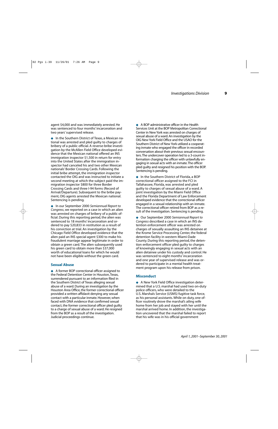agent \$4,000 and was immediately arrested. He was sentenced to four months' incarceration and two years' supervised release.

◆ In the Southern District of Texas, a Mexican national was arrested and pled guilty to charges of bribery of a public official. A reverse-bribe investigation by the McAllen Field Office developed evidence that the Mexican national offered an INS immigration inspector \$1,500 in return for entry into the United States after the immigration inspector had canceled his and two other Mexican nationals' Border Crossing Cards. Following the initial bribe attempt, the immigration inspector contacted the OIG and was instructed to initiate a second meeting at which the subject paid the immigration inspector \$800 for three Border Crossing Cards and three I-94 forms (Record of Arrival/Departure). Subsequent to the bribe payment, OIG agents arrested the Mexican national. Sentencing is pending.

◆ In our September 2000 *Semiannual Report to Congress*, we reported on a case in which an alien was arrested on charges of bribery of a public official. During this reporting period, the alien was sentenced to 18 months' incarceration and ordered to pay \$20,833 in restitution as a result of his conviction at trial. An investigation by the Chicago Field Office developed evidence that the alien paid an INS special agent \$300 to make his fraudulent marriage appear legitimate in order to obtain a green card. The alien subsequently used his green card to obtain more than \$37,000 worth of educational loans for which he would not have been eligible without the green card.

## **Sexual Abuse**

◆ A former BOP correctional officer assigned to the Federal Detention Center in Houston,Texas, surrendered pursuant to an information filed in the Southern District of Texas alleging sexual abuse of a ward. During an investigation by the Houston Area Office, the former correctional officer provided a written affidavit denying any sexual contact with a particular inmate. However, when faced with DNA evidence that confirmed sexual contact, the former correctional officer pled guilty to a charge of sexual abuse of a ward. He resigned from the BOP as a result of the investigation. Judicial proceedings continue.

◆ A BOP administrative officer in the Health Services Unit at the BOP Metropolitan Correctional Center in New York was arrested on charges of sexual abuse of a ward. An investigation by the OIG New York Field Office and the USAO for the Southern District of New York utilized a cooperating inmate who engaged the officer in recorded conversation about their previous sexual encounters.The undercover operation led to a 3-count information charging the officer with unlawfully engaging in sexual acts with an inmate.The officer pled guilty and resigned his position with the BOP. Sentencing is pending.

◆ In the Southern District of Florida, a BOP correctional officer assigned to the FCI in Tallahassee, Florida, was arrested and pled guilty to charges of sexual abuse of a ward. A joint investigation by the Miami Field Office and the Florida Department of Law Enforcement developed evidence that the correctional officer engaged in a sexual relationship with an inmate. The correctional officer retired from BOP as a result of the investigation. Sentencing is pending.

◆ Our September 2000 *Semiannual Report to Congress* described a case in which an INS detention enforcement officer was arrested on charges of sexually assaulting an INS detainee at the Krome Service Processing Center, the federal detention facility in western Miami-Dade County. During this reporting period, the detention enforcement officer pled guilty to charges of knowingly engaging in sexual acts with an alien detainee under his custody and control. He was sentenced to eight months' incarceration and one year of supervised release and was ordered to participate in a mental health treatment program upon his release from prison.

### **Misconduct**

◆ A New York Field Office investigation determined that a U.S. marshal had used two on-duty police officers, who were detailed to the U.S. Marshals Service (USMS) fugitive task force, as his personal assistants. While on duty, one officer routinely drove the marshal's ailing wife home from her job and stayed with her until the marshal arrived home. In addition, the investigation uncovered that the marshal failed to report that his wife was in his official government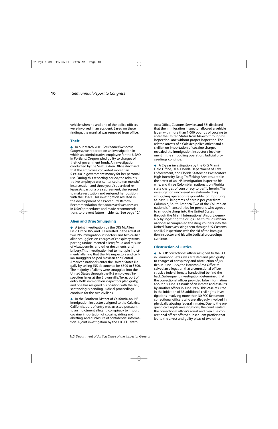vehicle when he and one of the police officers were involved in an accident. Based on these findings, the marshal was removed from office.

## **Theft**

◆ In our March 2001 *Semiannual Report to Congress*, we reported on an investigation in which an administrative employee for the USAO in Portland, Oregon, pled guilty to charges of theft of government funds. An investigation conducted by the Seattle Area Office disclosed that the employee converted more than \$39,000 in government money for her personal use. During this reporting period, the administrative employee was sentenced to ten months' incarceration and three years' supervised release. As part of a plea agreement, she agreed to make restitution and resigned her position with the USAO. This investigation resulted in the development of a Procedural Reform Recommendation that addressed weaknesses in USAO procedures and made recommendations to prevent future incidents. (See page 12.)

## **Alien and Drug Smuggling**

◆ A joint investigation by the OIG McAllen Field Office, INS, and FBI resulted in the arrest of two INS immigration inspectors and two civilian alien smugglers on charges of conspiracy; transporting undocumented aliens; fraud and misuse of visas, permits, and other documents; and bribery. This investigation led to multiple indictments alleging that the INS inspectors and civilian smugglers helped Mexican and Central American nationals enter the United States illegally by selling INS documents for \$300 to \$500. The majority of aliens were smuggled into the United States through the INS employees' inspection lanes at the Brownsville, Texas, port of entry. Both immigration inspectors pled guilty, and one has resigned his position with the INS; sentencing is pending. Judicial proceedings continue for the two civilians.

◆ In the Southern District of California, an INS immigration inspector assigned to the Calexico, California, port of entry was arrested pursuant to an indictment alleging conspiracy to import cocaine, importation of cocaine, aiding and abetting, and disclosure of confidential information. A joint investigation by the OIG El Centro

Area Office, Customs Service, and FBI disclosed that the immigration inspector allowed a vehicle laden with more than 1,000 pounds of cocaine to enter the United States from Mexico through his inspection lane without proper inspection. The related arrests of a Calexico police officer and a civilian on importation of cocaine charges revealed the immigration inspector's involvement in the smuggling operation. Judicial proceedings continue.

◆ A 2-year investigation by the OIG Miami Field Office, DEA, Florida Department of Law Enforcement, and Florida Statewide Prosecutor's High Intensity Drug Trafficking Area resulted in the arrest of an INS immigration inspector, his wife, and three Colombian nationals on Florida state charges of conspiracy to traffic heroin. The investigation uncovered an elaborate drug smuggling operation responsible for importing at least 80 kilograms of heroin per year from Columbia, South America. Two of the Columbian nationals financed trips for persons who agreed to smuggle drugs into the United States through the Miami International Airport, generally by ingesting the drugs. The third Columbian national accompanied the drug couriers into the United States, assisting them through U.S. Customs and INS inspections with the aid of the immigration inspector and his wife. Judicial proceedings continue.

## **Obstruction of Justice**

◆ A BOP correctional officer assigned to the FCC in Beaumont, Texas, was arrested and pled guilty to charges of conspiracy and obstruction of justice. In June 1999, the Houston Area Office received an allegation that a correctional officer struck a federal inmate handcuffed behind the back. Subsequent investigation determined that the correctional officer provided false information about his June 3 assault of an inmate and assaults by another officer in June 1997. This case resulted in the initiation of 38 additional civil rights investigations involving more than 30 FCC Beaumont correctional officers who are allegedly involved in physically abusing federal inmates. Due to the ongoing civil rights investigations, the court sealed the correctional officer's arrest and plea. The correctional officer offered subsequent proffers that led to the arrest and guilty pleas of two other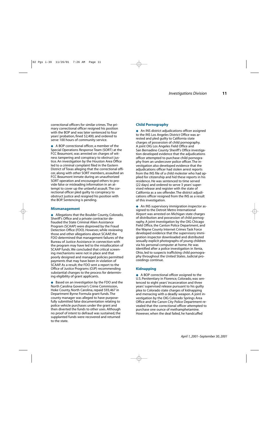correctional officers for similar crimes. The primary correctional officer resigned his position with the BOP and was later sentenced to four years' probation, fined \$2,400, and ordered to serve 100 hours of community service.

◆ A BOP correctional officer, a member of the Special Operations Response Team (SORT) at the FCC Beaumont, was arrested on charges of witness tampering and conspiracy to obstruct justice. An investigation by the Houston Area Office led to a criminal complaint filed in the Eastern District of Texas alleging that the correctional officer, along with other SORT members, assaulted an FCC Beaumont inmate during an unauthorized SORT operation and encouraged others to provide false or misleading information in an attempt to cover up the unlawful assault. The correctional officer pled guilty to conspiracy to obstruct justice and resigned his position with the BOP. Sentencing is pending.

### **Mismanagement**

◆ Allegations that the Boulder County, Colorado, Sheriff's Office and a private contractor defrauded the State Criminal Alien Assistance Program (SCAAP) were disproved by the Fraud Detection Office (FDO). However, while reviewing those and other allegations about SCAAP, the FDO determined that management failures of the Bureau of Justice Assistance in connection with the program may have led to the misallocation of SCAAP funds. We concluded that critical screening mechanisms were not in place and that poorly designed and managed policies permitted payments that may have been in violation of SCAAP. As a result, the FDO sent a report to the Office of Justice Programs (OJP) recommending substantial changes to the process for determining eligibility of grant applicants.

◆ Based on an investigation by the FDO and the North Carolina Governor's Crime Commission, Hoke County, North Carolina, repaid \$93,467 in Department Byrne Formula grant funds. The county manager was alleged to have purposefully submitted false documentation relating to police vehicle purchases under the grant and then diverted the funds to other uses. Although no proof of intent to defraud was sustained, the supplanted funds were recovered and returned to the state.

### **Child Pornography**

◆ An INS district adjudications officer assigned to the INS Los Angeles District Office was arrested and pled guilty to California state charges of possession of child pornography. A joint OIG Los Angeles Field Office and San Bernadino County Sheriff's Office investigation developed evidence that the adjudications officer attempted to purchase child pornography from an undercover police officer. The investigation also developed evidence that the adjudications officer had stolen arrest reports from the INS file of a child molester who had applied for citizenship and hid these reports in his residence. He was sentenced to time served (22 days) and ordered to serve 3 years' supervised release and register with the state of California as a sex offender. The district adjudications officer resigned from the INS as a result of this investigation.

◆ An INS supervisory immigration inspector assigned to the Detroit Metro International Airport was arrested on Michigan state charges of distribution and possession of child pornography. A joint investigation by the OIG Chicago Field Office, the Canton Police Department, and the Wayne County Internet Crimes Task Force developed evidence that the supervisory immigration inspector downloaded and distributed sexually explicit photographs of young children via his personal computer at home. He was identified after a police investigation in Xenia, Ohio, led to suspects trafficking child pornography throughout the United States. Judicial proceedings continue.

#### **Kidnapping**

◆ A BOP correctional officer assigned to the U.S. Penitentiary in Florence, Colorado, was sentenced to eight years' incarceration and three years' supervised release pursuant to his guilty plea to Colorado state charges of kidnapping and menacing with a deadly weapon. A joint investigation by the OIG Colorado Springs Area Office and the Canon City Police Department revealed that the correctional officer attempted to purchase one ounce of methamphetamine. However, when the deal failed, he handcuffed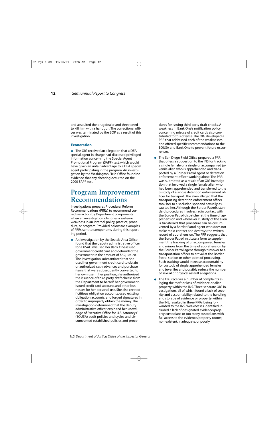and assaulted the drug dealer and threatened to kill him with a handgun. The correctional officer was terminated by the BOP as a result of this investigation.

## **Exoneration**

◆ The OIG received an allegation that a DEA special agent in charge had disclosed privileged information concerning the Special Agent Promotional Program (SAPP) test, which would have given an unfair advantage to a DEA special agent participating in the program. An investigation by the Washington Field Office found no evidence that any cheating occurred on the 2000 SAPP test.

# **Program Improvement Recommendations**

Investigations prepares Procedural Reform Recommendations (PRRs) to recommend corrective action by Department components when an investigation identifies a systemic weakness in an internal policy, practice, procedure, or program. Provided below are examples of PRRs sent to components during this reporting period.

◆ An investigation by the Seattle Area Office found that the deputy administrative officer for a USAO misused her Bank One-issued government credit card and defrauded the government in the amount of \$39,104.70. The investigation substantiated that she used her government credit card to obtain unauthorized cash advances and purchase items that were subsequently converted to her own use. In her position, she authorized the issuance of third party draft checks from the Department to herself, her governmentissued credit card account, and other businesses for her personal use. She also created fictitious obligation accounts, used existing obligation accounts, and forged signatures in order to improperly obtain the money. The investigation determined that the deputy administrative officer exploited her knowledge of Executive Office for U.S. Attorneys' (EOUSA) audit policies and cycles and circumvented established policies and procedures for issuing third party draft checks. A weakness in Bank One's notification policy concerning misuse of credit cards also contributed to this offense. The OIG developed a PRR that addressed each of the weaknesses and offered specific recommendations to the EOUSA and Bank One to prevent future occurrences.

- The San Diego Field Office prepared a PRR that offers a suggestion to the INS for tracking a single female or a single unaccompanied juvenile alien who is apprehended and transported by a Border Patrol agent or detention enforcement officer working alone. The PRR was submitted as a result of an OIG investigation that involved a single female alien who had been apprehended and transferred to the custody of a single detention enforcement officer for transport. The alien alleged that the transporting detention enforcement officer took her to a secluded spot and sexually assaulted her. Although the Border Patrol's standard procedures involves radio contact with the Border Patrol dispatcher at the time of apprehension and whenever custody of the alien is transferred, that procedure can be circumvented by a Border Patrol agent who does not make radio contact and destroys the written record of apprehension. The PRR suggests that the Border Patrol institute a form to supplement the tracking of unaccompanied females and minors from the time of apprehension by the Border Patrol agent through turnover to a transportation officer to arrival at the Border Patrol station or other point of processing. Such tracking would increase accountability for custody of single apprehended females and juveniles and possibly reduce the number of sexual or physical assault allegations.
- The OIG receives a number of complaints alleging the theft or loss of evidence or alien property within the INS. Three separate OIG investigations, all of which found a lack of security and accountability related to the handling and storage of evidence or property within the INS, resulted in three PRRs being forwarded to the INS. Weaknesses identified included a lack of designated evidence/property custodians or too many custodians with full access to the evidence/property rooms; non-existent, inadequate, or poorly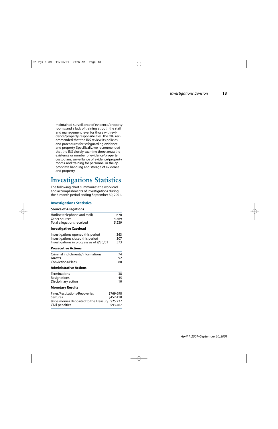maintained surveillance of evidence/property rooms; and a lack of training at both the staff and management level for those with evidence/property responsibilities. The OIG recommended that the INS review its policies and procedures for safeguarding evidence and property. Specifically, we recommended that the INS closely examine three areas: the existence or number of evidence/property custodians, surveillance of evidence/property rooms, and training for personnel in the appropriate handling and storage of evidence and property.

# **Investigations Statistics**

The following chart summarizes the workload and accomplishments of Investigations during the 6-month period ending September 30, 2001.

# **Investigations Statistics**

## **Source of Allegations**

| 670                                                |
|----------------------------------------------------|
| 4,569                                              |
| 5,239                                              |
|                                                    |
| 363                                                |
| 307                                                |
| 573                                                |
|                                                    |
| 74                                                 |
| 92                                                 |
| 80                                                 |
|                                                    |
| 38                                                 |
| 45                                                 |
| 10                                                 |
|                                                    |
| \$769,698                                          |
| \$452,410                                          |
| Bribe monies deposited to the Treasury<br>\$25,227 |
| \$93,467                                           |
|                                                    |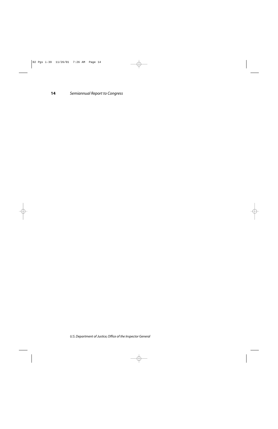# **14** *Semiannual Report to Congress*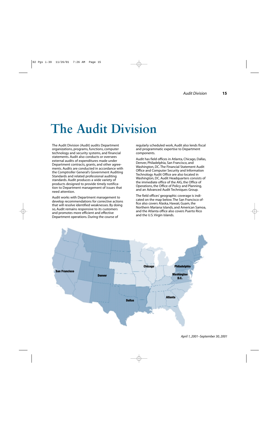# **The Audit Division**

The Audit Division (Audit) audits Department organizations, programs, functions, computer technology and security systems, and financial statements. Audit also conducts or oversees external audits of expenditures made under Department contracts, grants, and other agreements. Audits are conducted in accordance with the Comptroller General's Government Auditing Standards and related professional auditing standards. Audit produces a wide variety of products designed to provide timely notification to Department management of issues that need attention.

Audit works with Department management to develop recommendations for corrective actions that will resolve identified weaknesses. By doing so, Audit remains responsive to its customers and promotes more efficient and effective Department operations. During the course of

regularly scheduled work, Audit also lends fiscal and programmatic expertise to Department components.

Audit has field offices in Atlanta, Chicago, Dallas, Denver, Philadelphia, San Francisco, and Washington, DC. The Financial Statement Audit Office and Computer Security and Information Technology Audit Office are also located in Washington, DC. Audit Headquarters consists of the immediate office of the AIG, the Office of Operations, the Office of Policy and Planning, and an Advanced Audit Techniques Group.

The field offices' geographic coverage is indicated on the map below. The San Francisco office also covers Alaska, Hawaii, Guam, the Northern Mariana Islands, and American Samoa, and the Atlanta office also covers Puerto Rico and the U.S. Virgin Islands.

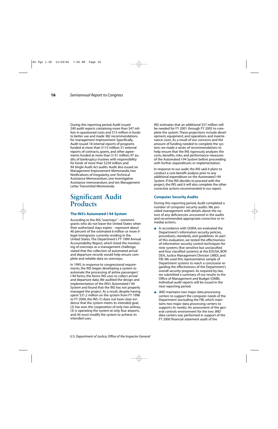During this reporting period, Audit issued 240 audit reports containing more than \$47 million in questioned costs and \$15 million in funds to better use and made 382 recommendations for management improvement. Specifically, Audit issued 18 internal reports of programs funded at more than \$115 million; 31 external reports of contracts, grants, and other agreements funded at more than \$131 million; 97 audits of bankruptcy trustees with responsibility for funds of more than \$239 million; and 94 Single Audit Act audits. Audit also issued six Management Improvement Memoranda, two Notifications of Irregularity, one Technical Assistance Memorandum, one Investigative Assistance memorandum, and ten Management Letter Transmittal Memoranda.

# **Significant Audit Products**

## **The INS's Automated I-94 System**

According to the INS,"overstays" – nonimmigrants who do not leave the United States when their authorized stays expire – represent about 40 percent of the estimated 6 million or more illegal immigrants currently residing in the United States. The Department's FY 1999 Annual Accountability Report, which listed the monitoring of overstays as a management challenge, stated that the collection of automated arrival and departure records would help ensure complete and reliable data on overstays.

In 1995, in response to congressional requirements, the INS began developing a system to automate the processing of airline passengers' I-94 forms, the forms INS uses to collect arrival and departure data. We audited the design and implementation of the INS's Automated I-94 System and found that the INS has not properly managed the project. As a result, despite having spent \$31.2 million on the system from FY 1996 to FY 2000, the INS (1) does not have clear evidence that the system meets its intended goal, (2) has won the cooperation of only two airlines, (3) is operating the system at only four airports, and (4) must modify the system to achieve its intended uses.

INS estimates that an additional \$57 million will be needed for FY 2001 through FY 2005 to complete the system. These projections include development, equipment, and operations and maintenance costs. As a result of our concerns and the amount of funding needed to complete the system, we made a series of recommendations to help ensure that the INS rigorously analyzes the costs, benefits, risks, and performance measures of the Automated I-94 System before proceeding with further expenditures or implementation.

In response to our audit, the INS said it plans to conduct a cost-benefit analysis prior to any additional expenditure on the Automated I-94 System. If the INS decides to proceed with the project, the INS said it will also complete the other corrective actions recommended in our report.

## **Computer Security Audits**

During this reporting period, Audit completed a number of computer security audits. We provided management with details about the nature of any deficiencies uncovered in the audits and recommended appropriate corrective or remedial actions.

- In accordance with GISRA, we evaluated the Department's information security policies, procedures, standards, and guidelines. As part of this evaluation, we tested the effectiveness of information security control techniques for nine systems (five sensitive but unclassified and four classified systems) at the EOUSA, BOP, DEA, Justice Management Division (JMD), and FBI. We used this representative sample of Department systems to reach a conclusion regarding the effectiveness of the Department's overall security program. As required by law, we submitted a summary of our results to the Office of Management and Budget (OMB). Individual audit reports will be issued in the next reporting period.
- ◆ JMD maintains two major data processing centers to support the computer needs of the Department (excluding the FBI, which maintains two major data processing centers to supports its needs). An assessment of the general controls environment for the two JMD data centers was performed in support of the FY 2000 financial statement audit of the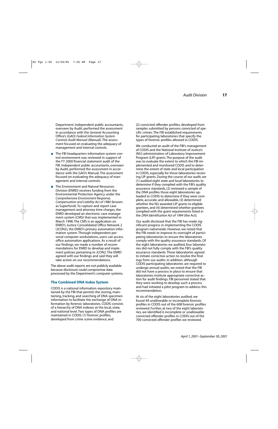Department. Independent public accountants, overseen by Audit, performed the assessment in accordance with the General Accounting Office's (GAO) *Federal Information System Controls Audit Manual* (Manual). The assessment focused on evaluating the adequacy of management and internal controls.

- ◆ The FBI headquarters information system control environment was reviewed in support of the FY 2000 financial statement audit of the FBI. Independent public accountants, overseen by Audit, performed the assessment in accordance with the GAO's Manual. The assessment focused on evaluating the adequacy of management and internal controls.
- The Environment and Natural Resources Division (ENRD) receives funding from the Environmental Protection Agency under the *Comprehensive Environment Response, Compensation and Liability Act of 1980* (known as Superfund). To capture and report case management and attorney time charges, the ENRD developed an electronic case management system (CMS) that was implemented in March 1998. The CMS is an application on ENRD's Justice Consolidated Office Network 2 (JCON2), the ENRD's primary automation information system. Through independent personal computer workstations, users can access office automation applications. As a result of our findings, we made a number of recommendations for ENRD to develop and implement policies pertaining to JCON2. The ENRD agreed with our findings and said they will take action on our recommendations.

The above audit reports are not publicly available because disclosure could compromise data processed by the Department's computer systems.

## **The Combined DNA Index System**

CODIS is a national information repository maintained by the FBI that permits the storing, maintaining, tracking, and searching of DNA specimen information to facilitate the exchange of DNA information by forensic laboratories. CODIS consists of a hierarchy of DNA indexes at the local, state, and national level. Two types of DNA profiles are maintained in CODIS: (1) forensic profiles, developed from crime scene evidence, and

(2) convicted offender profiles, developed from samples submitted by persons convicted of specific crimes. The FBI established requirements for participating laboratories that specify the types of forensic profiles allowed in CODIS.

We conducted an audit of the FBI's management of CODIS and the National Institute of Justice's (NIJ) administration of Laboratory Improvement Program (LIP) grants. The purpose of the audit was to evaluate the extent to which the FBI implemented and monitored CODIS and to determine the extent of state and local participation in CODIS, especially for those laboratories receiving LIP grants. During the course of our audit, we (1) audited eight state and local laboratories to determine if they complied with the FBI's quality assurance standards, (2) reviewed a sample of the DNA profiles those eight laboratories uploaded to CODIS to determine if they were complete, accurate, and allowable, (3) determined whether the NIJ awarded LIP grants to eligible grantees, and (4) determined whether grantees complied with the grant requirements listed in the *DNA Identification Act of 1994* (the Act).

Our audit disclosed that the FBI has made significant progress in implementing the CODIS program nationwide. However, we noted that the FBI needs to improve its oversight of participating laboratories to ensure the laboratories comply with the quality assurance standards. Of the eight laboratories we audited, four laboratories did not fully comply with the FBI's quality assurance standards. These laboratories agreed to initiate corrective action to resolve the findings from our audits. In addition, although CODIS-participating laboratories are required to undergo annual audits, we noted that the FBI did not have a process in place to ensure that laboratories institute appropriate corrective action for audit findings. FBI personnel stated that they were working to develop such a process and had initiated a pilot program to address this recommendation.

At six of the eight laboratories audited, we found 49 unallowable or incomplete forensic profiles in CODIS out of the 608 forensic profiles reviewed. Further, at two of the eight laboratories, we identified 6 incomplete or unallowable convicted offender profiles in CODIS out of the 700 convicted offender profiles we reviewed.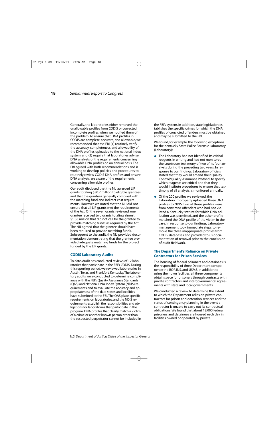Generally, the laboratories either removed the unallowable profiles from CODIS or corrected incomplete profiles when we notified them of the problem. To ensure that DNA profiles in CODIS are complete, accurate, and allowable, we recommended that the FBI (1) routinely verify the accuracy, completeness, and allowability of the DNA profiles uploaded to the national index system, and (2) require that laboratories advise DNA analysts of the requirements concerning allowable DNA profiles on an annual basis. The FBI agreed with both recommendations and is working to develop policies and procedures to routinely review CODIS DNA profiles and ensure DNA analysts are aware of the requirements concerning allowable profiles.

Our audit disclosed that the NIJ awarded LIP grants totaling \$30.7 million to eligible grantees and that the grantees generally complied with the matching fund and indirect cost requirements. However, we noted that the NIJ did not ensure that all LIP grants met the requirements of the Act. Of the seven grants reviewed, one grantee received two grants totaling almost \$1.38 million that did not call for the grantee to provide matching funds as required by the Act. The NIJ agreed that the grantee should have been required to provide matching funds. Subsequent to the audit, the NIJ provided documentation demonstrating that the grantee provided adequate matching funds for the project funded by the LIP grants.

## **CODIS Laboratory Audits**

To date, Audit has conducted reviews of 12 laboratories that participate in the FBI's CODIS. During this reporting period, we reviewed laboratories in Austin,Texas, and Frankfort, Kentucky.The laboratory audits were conducted to determine compliance with the FBI's Quality Assurance Standards (QAS) and National DNA Index System (NDIS) requirements and to evaluate the accuracy and appropriateness of the data states and localities have submitted to the FBI.The QAS place specific requirements on laboratories, and the NDIS requirements establish the responsibilities and obligations for laboratories that participate in the program. DNA profiles that clearly match a victim of a crime or another known person other than the suspected perpetrator cannot be included in the FBI's system. In addition, state legislation establishes the specific crimes for which the DNA profiles of convicted offenders must be obtained and may be submitted to the FBI.

We found, for example, the following exceptions for the Kentucky State Police Forensic Laboratory (Laboratory):

- ◆ The Laboratory had not identified its critical reagents in writing and had not monitored the courtroom testimony of two of its four analysts during the preceding two years. In response to our findings, Laboratory officials stated that they would amend their Quality Control/Quality Assurance Protocol to specify which reagents are critical and that they would institute procedures to ensure that testimony of all analysts is monitored annually.
- ◆ Of the 200 profiles we reviewed, the Laboratory improperly uploaded three DNA profiles to NDIS. Two of those profiles were from convicted offenders who had not violated a Kentucky statute for which DNA collection was permitted, and the other profile matched the DNA profile of the victim in the case. In response to our findings, Laboratory management took immediate steps to remove the three inappropriate profiles from CODIS databases and provided to us documentation of removal prior to the conclusion of audit fieldwork.

## **The Department's Reliance on Private Contractors for Prison Services**

The housing of federal prisoners and detainees is the responsibility of three Department components: the BOP, INS, and USMS. In addition to using their own facilities, all three components obtain space for prisoners through contracts with private contractors and intergovernmental agreements with state and local governments.

We conducted a review to determine the extent to which the Department relies on private contractors for prison and detention services and the status of contingency planning in the event a contractor is unable to carry out its contractual obligations. We found that about 18,000 federal prisoners and detainees are housed each day in facilities owned or operated by private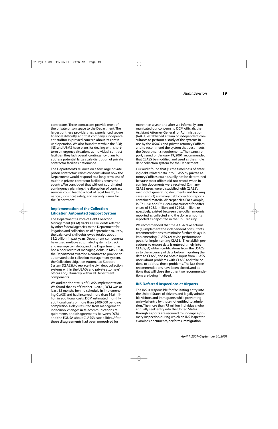contractors. Three contractors provide most of the private prison space to the Department. The largest of these providers has experienced severe financial difficulty, and that company's independent auditor expressed concern about its continued operation. We also found that while the BOP, INS, and USMS have plans for dealing with shortterm emergency situations at individual contract facilities, they lack overall contingency plans to address potential large scale disruption of private contractor facilities nationwide.

The Department's reliance on a few large private prison contractors raises concerns about how the Department would respond to a long-term loss of multiple private contractor facilities across the country. We concluded that without coordinated contingency planning, the disruption of contract services could lead to a host of legal, health, financial, logistical, safety, and security issues for the Department.

## **Implementation of the Collection Litigation Automated Support System**

The Department's Office of Debt Collection Management (DCM) tracks all civil debts referred by other federal agencies to the Department for litigation and collection. As of September 30, 1999, the balance of civil debts owed totaled about \$3.2 billion. In past years, Department components have used multiple automated systems to track and manage civil debts, and the Department has had a poor record of managing debts. In May 1998, the Department awarded a contract to provide an automated debt collection management system, the Collection Litigation Automated Support System (CLASS), to replace the civil debt collection systems within the USAOs and private attorneys' offices and, ultimately, within all Department components.

We audited the status of CLASS implementation. We found that as of October 1, 2000, DCM was at least 18 months behind schedule in implementing CLASS and had incurred more than \$4.6 million in additional costs. DCM estimated monthly additional costs of more than \$400,000 pending completion. Delays resulted from management indecision, changes in telecommunications requirements, and disagreements between DCM and the EOUSA about CLASS's capabilities. After those disagreements had been unresolved for

more than a year, and after we informally communicated our concerns to DCM officials, the Assistant Attorney General for Administration (AAGA) established a team of independent consultants to perform a study of the systems in use by the USAOs and private attorneys' offices and to recommend the system that best meets the Department's requirements. The team's report, issued on January 19, 2001, recommended that CLASS be modified and used as the single debt collection system for the Department.

Our audit found that (1) the timeliness of entering debt-related data into CLASS by private attorneys' offices could usually not be determined because most offices did not record when incoming documents were received, (2) many CLASS users were dissatisfied with CLASS's method of generating documents and tracking cases, and (3) summary debt collection reports contained material discrepancies. For example, in FY 1998 and FY 1999, unaccounted for differences of \$98.3 million and \$219.8 million, respectively, existed between the dollar amounts reported as collected and the dollar amounts reported as deposited in the U.S. Treasury.

We recommended that the AAGA take actions to (1) implement the independent consultants' recommendations to minimize further delays in implementing CLASS, (2) revise performance goals for implementing CLASS, (3) establish procedures to ensure data is entered timely into CLASS, (4) obtain certifications from the USAOs as to the accuracy of data before migrating the data to CLASS, and (5) obtain input from CLASS users about problems with CLASS and take actions to address those problems. The last three recommendations have been closed, and actions that will close the other two recommendations are being finalized.

#### **INS Deferred Inspections at Airports**

The INS is responsible for facilitating entry into the United States of citizens and legally admissible visitors and immigrants while preventing unlawful entry by those not entitled to admission. The more than 75 million individuals who annually seek entry into the United States through airports are required to undergo a primary inspection during which an INS inspector examines documents, performs immigration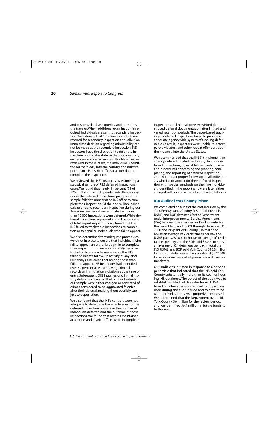and customs database queries, and questions the traveler. When additional examination is required, individuals are sent to secondary inspection. We estimate that 1 million individuals are referred for secondary inspection annually. If an immediate decision regarding admissibility cannot be made at the secondary inspection, INS inspectors have the discretion to defer the inspection until a later date so that documentary evidence – such as an existing INS file – can be reviewed. In these cases, the individual is admitted (or "paroled") into the country and must report to an INS district office at a later date to complete the inspection.

We reviewed the INS's practices by examining a statistical sample of 725 deferred inspections cases. We found that nearly 11 percent (79 of 725) of the individuals paroled into the country under the deferred inspections process in this sample failed to appear at an INS office to complete their inspection. Of the one million individuals referred to secondary inspection during our 1-year review period, we estimate that more than 10,000 inspections were deferred. While deferred inspections represent a small percentage of total airport inspections, we found that the INS failed to track these inspections to completion or to penalize individuals who fail to appear.

We also determined that adequate procedures were not in place to ensure that individuals who fail to appear are either brought in to complete their inspections or are appropriately penalized for failing to appear. In many cases, the INS failed to initiate follow-up activity of any kind. Our analysis revealed that among those who failed to appear, INS inspectors had identified over 50 percent as either having criminal records or immigration violations at the time of entry. Subsequent OIG inquiries of criminal history databases revealed that nine individuals in our sample were either charged or convicted of crimes considered to be aggravated felonies after their deferral, making them possibly subject to deportation.

We also found that the INS's controls were not adequate to determine the effectiveness of the deferred inspection process or the number of individuals deferred and the outcome of those inspections. We found that records maintained at airports and district offices were incomplete.

Inspectors at all nine airports we visited destroyed deferral documentation after limited and varied retention periods. The paper-based tracking of deferred inspections failed to provide an adequate agencywide system of tracking deferrals. As a result, inspectors were unable to detect parole violators and other repeat offenders upon their reentry into the United States.

We recommended that the INS (1) implement an agencywide automated tracking system for deferred inspections, (2) establish or clarify policies and procedures concerning the granting, completing, and reporting of deferred inspections, and (3) conduct proper follow-up on all individuals who fail to appear for their deferred inspection, with special emphasis on the nine individuals identified in the report who were later either charged with or convicted of aggravated felonies.

## **IGA Audit of York County Prison**

We completed an audit of the cost incurred by the York, Pennsylvania, County Prison, to house INS, USMS, and BOP detainees for the Department under Intergovernmental Service Agreements (IGA) between the agencies and York County. For the period January 1, 2000, through December 31, 2000, the INS paid York County \$16 million to house an average of 729 detainees per day, the USMS paid \$280,000 to house an average of 17 detainees per day, and the BOP paid \$7,000 to house an average of 0.4 detainees per day. In total the INS, USMS, and BOP paid York County \$16.3 million for housing detainees and an additional \$872,000 for services such as out-of-prison medical care and translators.

Our audit was initiated in response to a newspaper article that indicated that the INS paid York County substantially more than its cost for housing INS detainees. The object of the audit was to establish audited jail day rates for each IGA based on allowable incurred costs and jail days used during the audit period and to determine whether York County was properly reimbursed. We determined that the Department overpaid York County \$6 million for the review period, and we identified \$6.4 million in future funds to better use.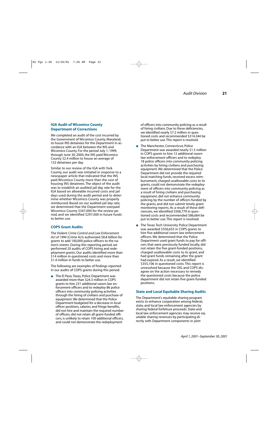# **IGA Audit of Wicomico County Department of Corrections**

We completed an audit of the cost incurred by the Government of Wicomico County, Maryland, to house INS detainees for the Department in accordance with an IGA between the INS and Wicomico County. For the period July 1, 1999, through June 30, 2000, the INS paid Wicomico County \$2.4 million to house an average of 132 detainees per day.

Similar to our review of the IGA with York County, our audit was initiated in response to a newspaper article that indicated that the INS paid Wicomico County more than the cost of housing INS detainees. The object of the audit was to establish an audited jail day rate for the IGA based on allowable incurred costs and jail days used during the audit period and to determine whether Wicomico County was properly reimbursed. Based on our audited jail day rate, we determined that the Department overpaid Wicomico County \$347,000 for the review period, and we identified \$297,000 in future funds to better use.

# **COPS Grant Audits**

The Violent *Crime Control and Law Enforcement Act of 1994* (Crime Act) authorized \$8.8 billion for grants to add 100,000 police officers to the nation's streets. During this reporting period, we performed 20 audits of COPS hiring and redeployment grants. Our audits identified more than \$14 million in questioned costs and more than \$1.4 million in funds to better use.

The following are examples of findings reported in our audits of COPS grants during this period:

◆ The El Paso, Texas, Police Department was awarded more than \$24.3 million in COPS grants to hire 231 additional sworn law enforcement officers and to redeploy 86 police officers into community policing activities through the hiring of civilians and purchase of equipment. We determined that the Police Department budgeted for a decrease in local officer positions, salaries, and fringe benefits, did not hire and maintain the required number of officers, did not retain all grant-funded officers, is unlikely to retain 100 additional officers, and could not demonstrate the redeployment

of officers into community policing as a result of hiring civilians. Due to these deficiencies, we identified nearly \$7.2 million in questioned costs and recommended \$314,344 be put to better use. This report is resolved.

- ◆ The Manchester, Connecticut, Police Department was awarded nearly \$1.5 million in COPS grants to hire 12 additional sworn law enforcement officers and to redeploy 18 police officers into community policing activities by hiring civilians and purchasing equipment. We determined that the Police Department did not provide the required local matching funds, received excess reimbursement, charged unallowable costs to its grants, could not demonstrate the redeployment of officers into community policing as a result of hiring civilians and purchasing equipment, did not enhance community policing by the number of officers funded by the grants, and did not submit timely grant monitoring reports. As a result of these deficiencies, we identified \$506,779 in questioned costs and recommended \$86,664 be put to better use. This report is resolved.
- ◆ The Texas Tech University Police Department was awarded \$356,655 in COPS grants to hire five additional sworn law enforcement officers. We determined that the Police Department used grant funds to pay for officers that were previously funded locally, did not retain the five grant-funded positions, charged unallowable costs to its grant, and had grant funds remaining after the grant had expired. As a result, we identified \$355,106 in questioned costs. This report is unresolved because the OIG and COPS disagree on the action necessary to remedy the questioned costs because the police department did not retain five grant-funded positions.

# **State and Local Equitable Sharing Audits**

The Department's equitable sharing program exists to enhance cooperation among federal, state, and local law enforcement agencies by sharing federal forfeiture proceeds. State and local law enforcement agencies may receive equitable sharing revenues by participating directly with Department components in joint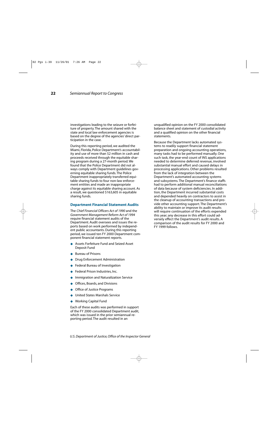investigations leading to the seizure or forfeiture of property. The amount shared with the state and local law enforcement agencies is based on the degree of the agencies' direct participation in the case.

During this reporting period, we audited the Miami, Florida, Police Department's accountability and use of more than \$2 million in cash and proceeds received through the equitable sharing program during a 27-month period. We found that the Police Department did not always comply with Department guidelines governing equitable sharing funds. The Police Department inappropriately transferred equitable sharing funds to four non-law enforcement entities and made an inappropriate charge against its equitable sharing account. As a result, we questioned \$163,605 in equitable sharing funds.

### **Department Financial Statement Audits**

The *Chief Financial Officers Act of 1990* and the *Government Management Reform Act of 1994* require financial statement audits of the Department. Audit oversees and issues the reports based on work performed by independent public accountants. During this reporting period, we issued ten FY 2000 Department component financial statement reports.

- ◆ Assets Forfeiture Fund and Seized Asset Deposit Fund
- ◆ Bureau of Prisons
- ◆ Drug Enforcement Administration
- ◆ Federal Bureau of Investigation
- ◆ Federal Prison Industries, Inc.
- ◆ Immigration and Naturalization Service
- ◆ Offices, Boards, and Divisions
- ◆ Office of Justice Programs
- ◆ United States Marshals Service
- ◆ Working Capital Fund

Each of these audits was performed in support of the FY 2000 consolidated Department audit, which was issued in the prior semiannual reporting period. The audit resulted in an

unqualified opinion on the FY 2000 consolidated balance sheet and statement of custodial activity and a qualified opinion on the other financial statements.

Because the Department lacks automated systems to readily support financial statement preparation and ongoing accounting operations, many tasks had to be performed manually. One such task, the year-end count of INS applications needed to determine deferred revenue, involved substantial manual effort and caused delays in processing applications. Other problems resulted from the lack of integration between the Department's automated accounting systems and subsystems. The Department's finance staffs had to perform additional manual reconciliations of data because of system deficiencies. In addition, the Department incurred substantial costs and depended heavily on contractors to assist in the cleanup of accounting transactions and provide other accounting support. The Department's ability to maintain or improve its audit results will require continuation of the efforts expended this year; any decrease in this effort could adversely effect the Department's audit results. A comparison of the audit results for FY 2000 and FY 1999 follows.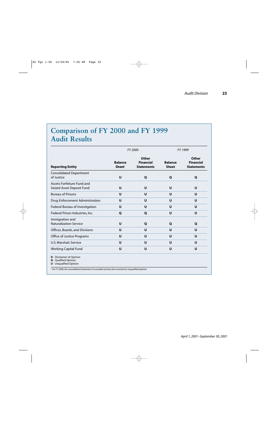# **Comparison of FY 2000 and FY 1999 Audit Results**

|                                                                                             | FY 2000                  |                                                       | FY 1999                        |                                                       |
|---------------------------------------------------------------------------------------------|--------------------------|-------------------------------------------------------|--------------------------------|-------------------------------------------------------|
| <b>Reporting Entity</b>                                                                     | <b>Balance</b><br>Sheet' | <b>Other</b><br><b>Financial</b><br><b>Statements</b> | <b>Balance</b><br><b>Sheet</b> | <b>Other</b><br><b>Financial</b><br><b>Statements</b> |
| <b>Consolidated Department</b><br>of Justice                                                | U                        | Q                                                     | Q                              | Q                                                     |
| Assets Forfeiture Fund and<br>Seized Asset Deposit Fund                                     | U                        | U                                                     | U                              | U                                                     |
| <b>Bureau of Prisons</b>                                                                    | U                        | U                                                     | U                              | U                                                     |
| Drug Enforcement Administration                                                             | U                        | U                                                     | $\mathbf U$                    | $\mathbf U$                                           |
| Federal Bureau of Investigation                                                             | U                        | U                                                     | U                              | U                                                     |
| Federal Prison Industries, Inc.                                                             | Q                        | Q                                                     | U                              | U                                                     |
| Immigration and<br><b>Naturalization Service</b>                                            | U                        | Q                                                     | Q                              | Q                                                     |
| Offices, Boards, and Divisions                                                              | U                        | U                                                     | U                              | $\mathbf U$                                           |
| Office of Justice Programs                                                                  | U                        | U                                                     | U                              | U                                                     |
| U.S. Marshals Service                                                                       | $\mathbf U$              | $\mathbf U$                                           | $\mathbf U$                    | $\mathbf U$                                           |
| <b>Working Capital Fund</b>                                                                 | U                        | U                                                     | $\mathbf U$                    | U                                                     |
| <b>D</b> - Disclaimer of Opinion<br>Q - Qualified Opinion<br><b>U</b> - Unqualified Opinion |                          |                                                       |                                |                                                       |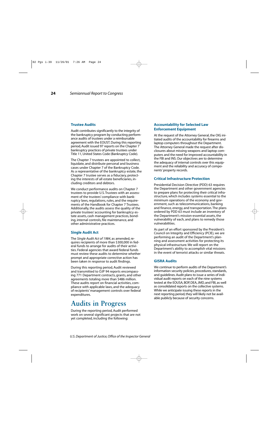#### **Trustee Audits**

Audit contributes significantly to the integrity of the bankruptcy program by conducting performance audits of trustees under a reimbursable agreement with the EOUST. During this reporting period, Audit issued 97 reports on the Chapter 7 bankruptcy practices of private trustees under Title 11, United States Code (Bankruptcy Code).

The Chapter 7 trustees are appointed to collect, liquidate, and distribute personal and business cases under Chapter 7 of the Bankruptcy Code. As a representative of the bankruptcy estate, the Chapter 7 trustee serves as a fiduciary, protecting the interests of all estate beneficiaries, including creditors and debtors.

We conduct performance audits on Chapter 7 trustees to provide U.S. Trustees with an assessment of the trustees' compliance with bankruptcy laws, regulations, rules, and the requirements of the Handbook for Chapter 7 Trustees. Additionally, the audits assess the quality of the private trustees' accounting for bankruptcy estate assets, cash management practices, bonding, internal controls, file maintenance, and other administrative practices.

### **Single Audit Act**

The *Single Audit Act of 1984*, as amended, requires recipients of more than \$300,000 in federal funds to arrange for audits of their activities. Federal agencies that award federal funds must review these audits to determine whether prompt and appropriate corrective action has been taken in response to audit findings.

During this reporting period, Audit reviewed and transmitted to OJP 94 reports encompassing 771 Department contracts, grants, and other agreements totaling more than \$486 million. These audits report on financial activities, compliance with applicable laws, and the adequacy of recipients' management controls over federal expenditures.

# **Audits in Progress**

During the reporting period, Audit performed work on several significant projects that are not yet completed, including the following:

## **Accountability for Selected Law Enforcement Equipment**

At the request of the Attorney General, the OIG initiated audits of the accountability for firearms and laptop computers throughout the Department. The Attorney General made the request after disclosures about missing weapons and laptop computers and the need for improved accountability in the FBI and INS. Our objectives are to determine the adequacy of internal controls over this equipment and the reliability and accuracy of components' property records.

### **Critical Infrastructure Protection**

Presidential Decision Directive (PDD) 63 requires the Department and other government agencies to prepare plans for protecting their critical infrastructure, which includes systems essential to the minimum operations of the economy and government, such as telecommunications, banking and finance, energy, and transportation. The plans ordered by PDD 63 must include an inventory of the Department's mission-essential assets, the vulnerability of each, and plans to remedy those vulnerabilities.

As part of an effort sponsored by the President's Council on Integrity and Efficiency (PCIE), we are performing an audit of the Department's planning and assessment activities for protecting its physical infrastructure. We will report on the Department's ability to accomplish vital missions in the event of terrorist attacks or similar threats.

## **GISRA Audits**

We continue to perform audits of the Department's information security policies, procedures, standards, and guidelines. Audit plans to issue a series of individual audit reports on each of the nine systems tested at the EOUSA, BOP, DEA, JMD, and FBI, as well as consolidated reports on the collective systems. While we anticipate issuing these reports in the next reporting period, they will likely not be available publicly because of security concerns.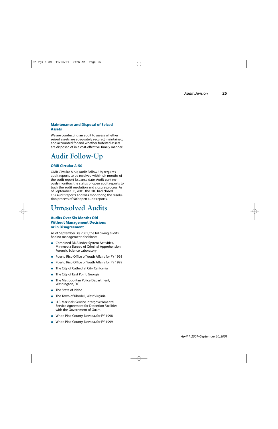# **Maintenance and Disposal of Seized Assets**

We are conducting an audit to assess whether seized assets are adequately secured, maintained, and accounted for and whether forfeited assets are disposed of in a cost-effective, timely manner.

# **Audit Follow-Up**

# **OMB Circular A-50**

OMB Circular A-50, Audit Follow-Up, requires audit reports to be resolved within six months of the audit report issuance date. Audit continuously monitors the status of open audit reports to track the audit resolution and closure process. As of September 30, 2001, the OIG had closed 167 audit reports and was monitoring the resolution process of 509 open audit reports.

# **Unresolved Audits**

# **Audits Over Six Months Old Without Management Decisions or in Disagreement**

As of September 30, 2001, the following audits had no management decisions:

- ◆ Combined DNA Index System Activities, Minnesota Bureau of Criminal Apprehension Forensic Science Laboratory
- ◆ Puerto Rico Office of Youth Affairs for FY 1998
- ◆ Puerto Rico Office of Youth Affairs for FY 1999
- ◆ The City of Cathedral City, California
- ◆ The City of East Point, Georgia
- ◆ The Metropolitan Police Department, Washington, DC
- ◆ The State of Idaho
- ◆ The Town of Rhodell, West Virginia
- ◆ U.S. Marshals Service Intergovernmental Service Agreement for Detention Facilities with the Government of Guam
- ◆ White Pine County, Nevada, for FY 1998
- ◆ White Pine County, Nevada, for FY 1999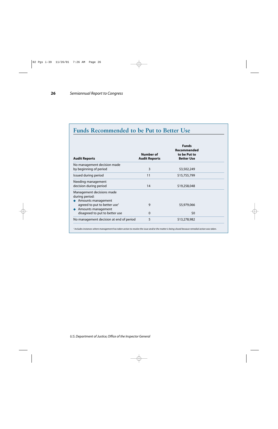| <b>Audit Reports</b>                     | Number of<br><b>Audit Reports</b> | <b>Funds</b><br>Recommended<br>to be Put to<br><b>Better Use</b> |
|------------------------------------------|-----------------------------------|------------------------------------------------------------------|
| No management decision made              |                                   |                                                                  |
| by beginning of period                   | 3                                 | \$3,502,249                                                      |
| Issued during period                     | 11                                | \$15,755,799                                                     |
| Needing management                       |                                   |                                                                  |
| decision during period                   | 14                                | \$19,258,048                                                     |
| Management decisions made                |                                   |                                                                  |
| during period:                           |                                   |                                                                  |
| Amounts management                       |                                   |                                                                  |
| agreed to put to better use <sup>1</sup> | 9                                 | \$5,979,066                                                      |
| ◆ Amounts management                     |                                   |                                                                  |
| disagreed to put to better use           | $\Omega$                          | \$0                                                              |
| No management decision at end of period  | 5                                 | \$13,278,982                                                     |

#### *<sup>1</sup> Includes instances where management has taken action to resolve the issue and/or the matter is being closed because remedial action was taken.*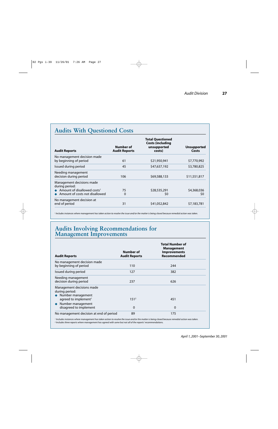# **Audits With Questioned Costs**

| <b>Audit Reports</b>                                  | Number of<br><b>Audit Reports</b> | <b>Total Questioned</b><br><b>Costs (including</b><br>unsupported<br>costs) | <b>Unsupported</b><br>Costs |
|-------------------------------------------------------|-----------------------------------|-----------------------------------------------------------------------------|-----------------------------|
| No management decision made<br>by beginning of period | 61                                | \$21,950,941                                                                | \$7,770,992                 |
| Issued during period                                  | 45                                | \$47,637,192                                                                | \$3,780,825                 |
| Needing management<br>decision during period          | 106                               | \$69,588,133                                                                | \$11,551,817                |
| Management decisions made<br>during period:           |                                   |                                                                             |                             |
| Amount of disallowed costs <sup>1</sup>               | 75                                | \$28,535,291                                                                | \$4,368,036                 |
| Amount of costs not disallowed                        | $\Omega$                          | \$0                                                                         | \$0                         |
| No management decision at                             |                                   |                                                                             |                             |
| end of period                                         | 31                                | \$41,052,842                                                                | \$7,183,781                 |

*<sup>1</sup> Includes instances where management has taken action to resolve the issue and/or the matter is being closed because remedial action was taken.*

# **Audits Involving Recommendations for Management Improvements**

| <b>Audit Reports</b>                                                                                                                        | Number of<br><b>Audit Reports</b> | <b>Total Number of</b><br><b>Management</b><br><b>Improvements</b><br>Recommended |
|---------------------------------------------------------------------------------------------------------------------------------------------|-----------------------------------|-----------------------------------------------------------------------------------|
| No management decision made<br>by beginning of period                                                                                       | 110                               | 244                                                                               |
| Issued during period                                                                                                                        | 127                               | 382                                                                               |
| Needing management<br>decision during period                                                                                                | 237                               | 626                                                                               |
| Management decisions made<br>during period:<br>• Number management<br>agreed to implement <sup>1</sup><br>$\blacklozenge$ Number management | 151 <sup>2</sup>                  | 451                                                                               |
| disagreed to implement                                                                                                                      | 0                                 | $\Omega$                                                                          |
| No management decision at end of period                                                                                                     | 89                                | 175                                                                               |

*<sup>1</sup> Includes instances where management has taken action to resolve the issue and/or the matter is being closed because remedial action was taken. <sup>2</sup> Includes three reports where management has agreed with some but not all of the reports' recommendations.*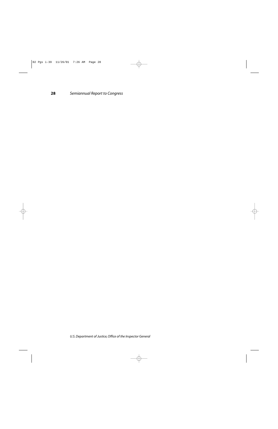# **28** *Semiannual Report to Congress*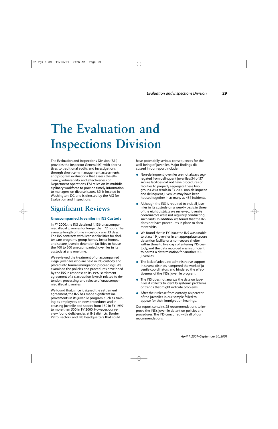# **The Evaluation and Inspections Division**

The Evaluation and Inspections Division (E&I) provides the Inspector General (IG) with alternatives to traditional audits and investigations through short-term management assessments and program evaluations that assess the efficiency, vulnerability, and effectiveness of Department operations. E&I relies on its multidisciplinary workforce to provide timely information to managers on diverse issues. E&I is located in Washington, DC, and is directed by the AIG for Evaluation and Inspections.

# **Significant Reviews**

# **Unaccompanied Juveniles in INS Custody**

In FY 2000, the INS detained 4,136 unaccompanied illegal juveniles for longer than 72 hours. The average length of time in custody was 33 days. The INS contracts with licensed facilities for shelter care programs, group homes, foster homes, and secure juvenile detention facilities to house the 400 to 500 unaccompanied juveniles in its custody at any one time.

We reviewed the treatment of unaccompanied illegal juveniles who are held in INS custody and placed into formal immigration proceedings. We examined the policies and procedures developed by the INS in response to its 1997 settlement agreement of a class-action lawsuit related to detention, processing, and release of unaccompanied illegal juveniles.

We found that, since it signed the settlement agreement, the INS has made significant improvements in its juvenile program, such as training its employees on new procedures and increasing juvenile bed spaces from 130 in FY 1997 to more than 500 in FY 2000. However, our review found deficiencies at INS districts, Border Patrol sectors, and INS headquarters that could

have potentially serious consequences for the well-being of juveniles. Major findings discussed in our report include:

- ◆ Non-delinquent juveniles are not always seqregated from delinquent juveniles; 34 of 57 secure facilities did not have procedures or facilities to properly segregate these two groups. As a result, in FY 2000 non-delinquent and delinquent juveniles may have been housed together in as many as 484 incidents.
- ◆ Although the INS is required to visit all juveniles in its custody on a weekly basis, in three of the eight districts we reviewed, juvenile coordinators were not regularly conducting such visits. In addition, we found that the INS does not have procedures in place to document visits.
- ◆ We found that in FY 2000 the INS was unable to place 19 juveniles in an appropriate secure detention facility or a non-secure shelter within three to five days of entering INS custody, and the data recorded was insufficient to permit a determination for another 90 juveniles.
- ◆ The lack of adequate administrative support in several districts hampered the work of juvenile coordinators and hindered the effectiveness of the INS's juvenile program.
- ◆ The INS does not analyze the data on juveniles it collects to identify systemic problems or trends that might indicate problems.
- ◆ After their release from custody, 68 percent of the juveniles in our sample failed to appear for their immigration hearings.

Our report contains 28 recommendations to improve the INS's juvenile detention policies and procedures. The INS concurred with all of our recommendations.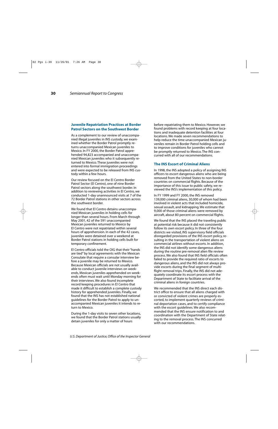## **Juvenile Repatriation Practices at Border Patrol Sectors on the Southwest Border**

As a complement to our review of unaccompanied illegal juveniles in INS custody, we examined whether the Border Patrol promptly returns unaccompanied Mexican juveniles to Mexico. In FY 2000, the Border Patrol apprehended 94,823 accompanied and unaccompanied Mexican juveniles who it subsequently returned to Mexico. These juveniles were not entered into formal immigration proceedings and were expected to be released from INS custody within a few hours.

Our review focused on the El Centro Border Patrol Sector (El Centro), one of nine Border Patrol sectors along the southwest border. In addition to reviewing activities in El Centro, we conducted 1-day unannounced visits at 7 of the 72 Border Patrol stations in other sectors across the southwest border.

We found that El Centro detains unaccompanied Mexican juveniles in holding cells for longer than several hours. From March through May 2001, 42 of the 591 unaccompanied Mexican juveniles returned to Mexico by El Centro were not repatriated within several hours of apprehension. In each of the 42 cases, juveniles were detained over a weekend at Border Patrol stations in holding cells built for temporary confinement.

El Centro officials told the OIG that their "hands are tied" by local agreements with the Mexican Consulate that require a consular interview before a juvenile may be returned to Mexico. Because Mexican officials are not usually available to conduct juvenile interviews on weekends, Mexican juveniles apprehended on weekends often must wait until Monday morning for their interviews. We also found incomplete record keeping procedures in El Centro that made it difficult to establish a complete custody history for apprehended juveniles. Finally, we found that the INS has not established national guidelines for the Border Patrol to apply to unaccompanied Mexican juveniles it intends to return to Mexico.

During the 1-day visits to seven other locations, we found that the Border Patrol stations usually detain juveniles for only a matter of hours

before repatriating them to Mexico. However, we found problems with record keeping at four locations and inadequate detention facilities at four locations. We made seven recommendations to help reduce the time unaccompanied Mexican juveniles remain in Border Patrol holding cells and to improve conditions for juveniles who cannot be promptly returned to Mexico. The INS concurred with all of our recommendations.

## **The INS Escort of Criminal Aliens**

In 1998, the INS adopted a policy of assigning INS officers to escort dangerous aliens who are being removed from the United States to non-border countries on commercial flights. Because of the importance of this issue to public safety, we reviewed the INS's implementation of this policy.

In FY 1999 and FY 2000, the INS removed 139,000 criminal aliens, 30,000 of whom had been involved in violent acts that included homicide, sexual assault, and kidnapping. We estimate that 9,000 of those criminal aliens were removed by aircraft, about 80 percent on commercial flights.

We found that the INS placed the traveling public at potential risk because it did not consistently follow its own escort policy. In three of the four districts we visited, INS supervisory field officials disregarded provisions of the INS escort policy, resulting in the transportation of violent aliens on commercial airlines without escorts. In addition, the INS did not identify some dangerous aliens during the routine pre-removal alien file review process. We also found that INS field officials often failed to provide the required ratio of escorts to dangerous aliens, and the INS did not always provide escorts during the final segment of multiflight removal trips. Finally, the INS did not adequately coordinate its escort process with the Department of State to facilitate arrival of the criminal aliens in foreign countries.

We recommended that the INS direct each district office to ensure that all aliens charged with or convicted of violent crimes are properly escorted, to implement quarterly reviews of criminal deportation cases, and to certify compliance with the escort quidelines. We also recommended that the INS ensure notification to and coordination with the Department of State relating to the removal process. The INS concurred with our recommendations.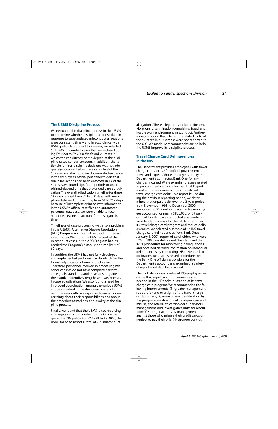## **The USMS Discipline Process**

We evaluated the discipline process in the USMS to determine whether discipline actions taken in response to substantiated misconduct allegations were consistent, timely, and in accordance with USMS policy. To conduct this review, we selected 50 USMS misconduct cases that were closed during FY 1998 to FY 2000. We found 25 cases in which the consistency or the degree of the discipline raised serious concerns. In addition, the rationale for final discipline decisions was not adequately documented in these cases. In 8 of the 50 cases, we also found no documented evidence in the employees' official personnel folders that discipline actions had been enforced. In 14 of the 50 cases, we found significant periods of unexplained elapsed time that prolonged case adjudication. The overall adjudication timeline for these 14 cases ranged from 89 to 330 days, with unexplained elapsed time ranging from 61 to 217 days. Because of incomplete or inaccurate information in the USMS's official case files and automated personnel database, we were unable to reconstruct case events to account for these gaps in time.

Timeliness of case processing was also a problem in the USMS's Alternative Dispute Resolution (ADR) Program, an informal method for mediating disputes. We found that 66 percent of the misconduct cases in the ADR Program had exceeded the Program's established time limit of 60 days.

In addition, the USMS has not fully developed and implemented performance standards for the formal adjudication of misconduct cases. Therefore, personnel involved in processing misconduct cases do not have complete performance goals, standards, and measures to guide their work or identify strengths and weaknesses in case adjudications. We also found a need for improved coordination among the various USMS entities involved in the discipline process. During our interviews, officials expressed concern or uncertainty about their responsibilities and about the procedures, timelines, and quality of the discipline process.

Finally, we found that the USMS is not reporting all allegations of misconduct to the OIG as required by OIG policy. For FY 1998 to FY 2000, the USMS failed to report a total of 239 misconduct

allegations. These allegations included firearms violations, discrimination complaints, fraud, and hostile work environment misconduct. Furthermore, we found that allegations related to 16 of the 50 cases in our sample were not reported to the OIG. We made 12 recommendations to help the USMS improve its discipline process.

## **Travel Charge Card Delinquencies in the INS**

The Department provides employees with travel charge cards to use for official government travel and expects those employees to pay the Department's contractor, Bank One, for any charges incurred. While examining issues related to procurement cards, we learned that Department employees were accruing significant travel charge card debts. In a report issued during the previous reporting period, we determined that unpaid debt over the 2-year period from November 1998 to December 2000 amounted to \$1.2 million. Because INS employees accounted for nearly \$825,000, or 69 percent, of this debt, we conducted a separate review to identify ways for the INS to strengthen its travel charge card program and reduce delinquencies. We selected a sample of 54 INS travel charge card delinquencies from Bank One's January 1, 2001, report of cardholders who were 120 to 180 days delinquent. We identified the INS's procedures for monitoring delinquencies and obtained detailed information on individual delinquencies by contacting INS travel card coordinators. We also discussed procedures with the Bank One official responsible for the Department's account and examined a variety of reports and data he provided.

The high delinquency rates of INS employees indicate that significant improvements are needed in the INS's administration of its travel charge card program. We recommended the following improvements: (1) greater management support for and oversight of the travel charge card program; (2) more timely identification by the program coordinators of delinquencies and misuse, and referral to cardholder supervisors, management, and investigative units for resolution; (3) stronger actions by management against those who misuse their credit cards or neglect to pay their bills; (4) stronger controls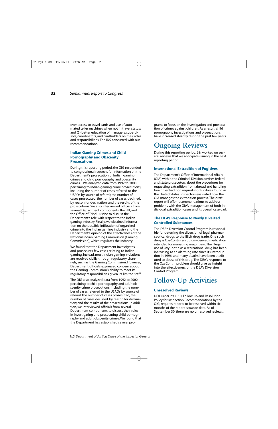over access to travel cards and use of automated teller machines when not in travel status; and (5) better education of managers, supervisors, coordinators, and cardholders on their roles and responsibilities. The INS concurred with our recommendations.

# **Indian Gaming Crimes and Child Pornography and Obscenity Prosecutions**

During this reporting period, the OIG responded to congressional requests for information on the Department's prosecution of Indian gaming crimes and child pornography and obscenity crimes. We analyzed data from 1992 to 2000 pertaining to Indian gaming crime prosecutions, including the number of cases referred to the USAOs by source of referral; the number of cases prosecuted; the number of cases declined, by reason for declination; and the results of the prosecutions. We also interviewed officials from several Department components, the FBI, and the Office of Tribal Justice to discuss the Department's role with respect to the Indian gaming industry. Finally, we obtained information on the possible infiltration of organized crime into the Indian gaming industry and the Department's opinion of the effectiveness of the National Indian Gaming Commission (Gaming Commission), which regulates the industry.

We found that the Department investigates and prosecutes few cases relating to Indian gaming. Instead, most Indian gaming violations are resolved civilly through regulatory channels, such as the Gaming Commission. However, Department officials expressed concern about the Gaming Commission's ability to meet its regulatory responsibilities given its limited staff.

The OIG also analyzed data from 1992 to 2000 pertaining to child pornography and adult obscenity crime prosecutions, including the number of cases referred to the USAOs by source of referral; the number of cases prosecuted; the number of cases declined, by reason for declination; and the results of the prosecutions. In addition, we interviewed officials from several Department components to discuss their roles in investigating and prosecuting child pornography and adult obscenity crimes. We found that the Department has established several programs to focus on the investigation and prosecution of crimes against children. As a result, child pornography investigations and prosecutions have increased steadily during the past few years.

# **Ongoing Reviews**

During this reporting period, E&I worked on several reviews that we anticipate issuing in the next reporting period.

## **International Extradition of Fugitives**

The Department's Office of International Affairs (OIA) within the Criminal Division advises federal and state prosecutors about the procedures for requesting extradition from abroad and handling foreign extradition requests for fugitives found in the United States. Inspectors evaluated how the OIA manages the extradition process. The draft report will offer recommendations to address problems with the OIA's management of both individual extradition cases and its overall caseload.

## **The DEA's Response to Newly Diverted Controlled Substances**

The DEA's Diversion Control Program is responsible for deterring the diversion of legal pharmaceutical drugs to the illicit drug trade. One such drug is OxyContin, an opium-derived medication intended for managing major pain. The illegal use of OxyContin as a recreational drug has been increasing at an alarming rate since its introduction in 1996, and many deaths have been attributed to abuse of this drug. The DEA's response to the OxyContin problem should give us insight into the effectiveness of the DEA's Diversion Control Program.

# **Follow-Up Activities**

# **Unresolved Reviews**

DOJ Order 2900.10, Follow-up and Resolution Policy for Inspection Recommendations by the OIG, requires reports to be resolved within six months of the report issuance date. As of September 30, there are no unresolved reviews.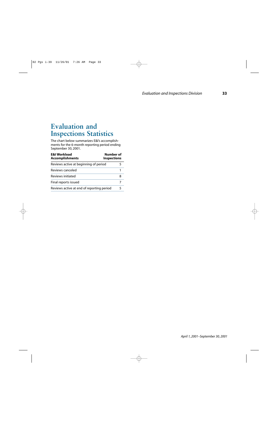# **Evaluation and Inspections Statistics**

The chart below summarizes E&I's accomplishments for the 6-month reporting period ending September 30, 2001.

| <b>E&amp;I Workload</b><br><b>Accomplishments</b> | Number of<br><b>Inspections</b> |
|---------------------------------------------------|---------------------------------|
| Reviews active at beginning of period             |                                 |
| Reviews canceled                                  |                                 |
| Reviews initiated                                 | 8                               |
| Final reports issued                              | 7                               |
| Reviews active at end of reporting period         | 5                               |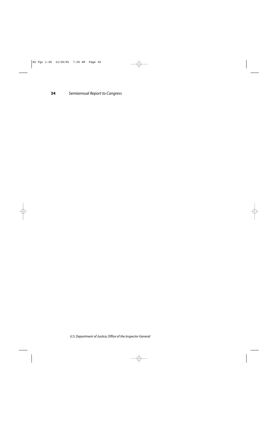# **34** *Semiannual Report to Congress*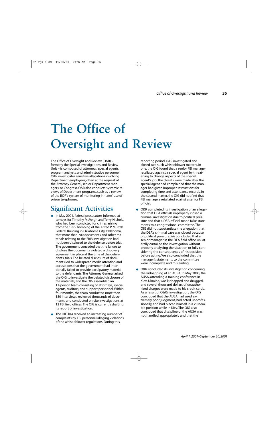# **The Office of Oversight and Review**

The Office of Oversight and Review (O&R) – formerly the Special Investigations and Review Unit – is composed of attorneys, special agents, program analysts, and administrative personnel. O&R investigates sensitive allegations involving Department employees, often at the request of the Attorney General, senior Department managers, or Congress. O&R also conducts systemic reviews of Department programs, such as a review of the BOP's system of monitoring inmates' use of prison telephones.

# **Significant Activities**

- ◆ In May 2001, federal prosecutors informed attorneys for Timothy McVeigh and Terry Nichols, who had been convicted for crimes arising from the 1995 bombing of the Alfred P. Murrah Federal Building in Oklahoma City, Oklahoma, that more than 700 documents and other materials relating to the FBI's investigation had not been disclosed to the defense before trial. The government conceded that the failure to disclose the documents violated a discovery agreement in place at the time of the defendants' trials. The belated disclosure of documents led to widespread media attention and accusations that the government had intentionally failed to provide exculpatory material to the defendants. The Attorney General asked the OIG to investigate the belated disclosure of the materials, and the OIG assembled an 11-person team consisting of attorneys, special agents, auditors, and support personnel. Within four months, the team conducted more than 180 interviews, reviewed thousands of documents, and conducted on-site investigations at 13 FBI field offices. The OIG is currently drafting its report of investigation.
- The OIG has received an increasing number of complaints by FBI personnel alleging violations of the whistleblower regulations. During this

reporting period, O&R investigated and closed two such whistleblower matters. In one, the OIG found that a senior FBI manager retaliated against a special agent by threatening to change aspects of the special agent's job. The threats were made after the special agent had complained that the manager had given improper instructions for completing time and attendance records. In the second matter, the OIG did not find that FBI managers retaliated against a senior FBI official.

- ◆ O&R completed its investigation of an allegation that DEA officials improperly closed a criminal investigation due to political pressure and that a DEA official made false statements to a congressional committee. The OIG did not substantiate the allegation that the DEA's criminal case was closed because of political pressure. We concluded that a senior manager in the DEA field office unilaterally curtailed the investigation without properly analyzing the situation or fully considering the consequences of his decision before acting. We also concluded that the manager's statements to the committee were incomplete and misleading.
- O&R concluded its investigation concerning the kidnapping of an AUSA. In May 2000, the AUSA, attending a training conference in Kiev, Ukraine, was kidnapped and drugged, and several thousand dollars of unauthorized charges were made to his credit cards. As a result of O&R's investigation, the OIG concluded that the AUSA had used extremely poor judgment, had acted unprofessionally, and had placed himself in a vulnerable position while in Kiev. The OIG also concluded that discipline of the AUSA was not handled appropriately and that the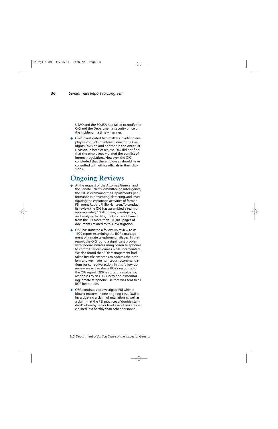USAO and the EOUSA had failed to notify the OIG and the Department's security office of the incident in a timely manner.

◆ O&R investigated two matters involving employee conflicts of interest, one in the Civil Rights Division and another in the Antitrust Division. In both cases, the OIG did not find that the employees violated the conflict of interest regulations. However, the OIG concluded that the employees should have consulted with ethics officials in their divisions.

# **Ongoing Reviews**

- ◆ At the request of the Attorney General and the Senate Select Committee on Intelligence, the OIG is examining the Department's performance in preventing, detecting, and investigating the espionage activities of former FBI agent Robert Philip Hanssen. To conduct its review, the OIG has assembled a team of approximately 10 attorneys, investigators, and analysts. To date, the OIG has obtained from the FBI more than 100,000 pages of documents related to this investigation.
- ◆ O&R has initiated a follow-up review to its 1999 report examining the BOP's management of inmate telephone privileges. In that report, the OIG found a significant problem with federal inmates using prison telephones to commit serious crimes while incarcerated. We also found that BOP management had taken insufficient steps to address the problem, and we made numerous recommendations for corrective action. In this follow-up review, we will evaluate BOP's response to the OIG report. O&R is currently evaluating responses to an OIG survey about monitoring inmate telephone use that was sent to all BOP institutions.
- ◆ O&R continues to investigate FBI whistleblower matters. In one ongoing case, O&R is investigating a claim of retaliation as well as a claim that the FBI practices a "double standard" whereby senior level executives are disciplined less harshly than other personnel.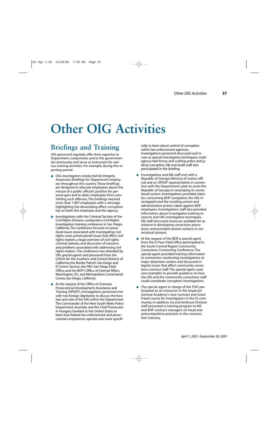# **Other OIG Activities**

# **Briefings and Training**

OIG personnel regularly offer their expertise to Department components and to the governmental community and serve as instructors for various training activities. For example, during this reporting period:

- ◆ OIG investigators conducted 64 Integrity Awareness Briefings for Department employees throughout the country. These briefings are designed to educate employees about the misuse of a public official's position for personal gain and to deter employees from committing such offenses. The briefings reached more than 1,907 employees with a message highlighting the devastating effect corruption has on both the employee and the agency.
- ◆ Investigations, with the Criminal Section of the Civil Rights Division, conducted a Civil Rights Investigation training conference in San Diego, California.The conference focused on procedural issues associated with investigating civil rights cases, prosecutorial issues that affect civil rights matters, a legal overview of civil rights criminal statutes, and discussion of concerns and problems associated with addressing civil rights matters.The conference was attended by OIG special agents and personnel from the USAOs for the Southern and Central Districts of California; the Border Patrol's San Diego and El Centro Sectors; the FBI's San Diego Field Office; and the BOP's Office of Internal Affairs, Washington, DC, and Metropolitan Correctional Center, San Diego, California.
- ◆ At the request of the Office of Overseas Prosecutorial Development, Assistance and Training (OPDAT), Investigations personnel met with two foreign dignitaries to discuss the function and role of the OIG within the Department. The Commander of the New South Wales Police Department, Australia, and the Chief Prosecutor in Hungary traveled to the United States to learn how federal law enforcement and prosecutorial components operate and, more specifi-

cally, to learn about control of corruption within law enforcement agencies. Investigations personnel discussed such issues as special investigative techniques, multiagency task forces, and curbing police and judicial corruption. E&I and Audit staff also participated in the briefing.

- ◆ Investigations and E&I staff met with a Republic of Georgia Ministry of Justice official and an OPDAT representative in connection with the Department's plan to assist the Republic of Georgia in revamping its correctional system. Investigations provided statistics concerning BOP complaints the OIG investigated and the resulting arrests and administrative actions taken against BOP employees. Investigations staff also provided information about investigative training resources and OIG investigative techniques. E&I staff discussed resources available for assistance in developing corrections procedures and provided several contacts in correctional systems.
- ◆ At the request of the BOP, a special agent from the El Paso Field Office participated in the South Central Region Community Corrections Contracting Conference. The special agent provided training information to contractors conducting investigations at major detention centers and discussed integrity issues that affect community corrections contract staff. The special agent used case examples to provide guidance on how the OIG and the community corrections staff could coordinate corruption investigations.
- ◆ The special agent in charge of the FDO participated as an instructor in the Inspector General Academy's new Contract and Grant Fraud course for investigators in the IG community. In addition, he and Antitrust Division staff presented a training program to INS and BOP contract managers on fraud and anticompetitive practices in the construction industry.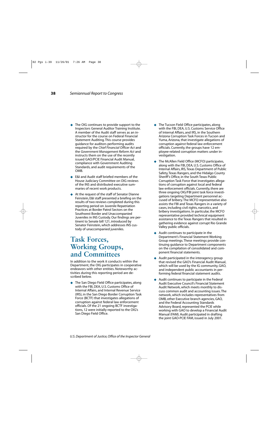- ◆ The OIG continues to provide support to the Inspectors General Auditor Training Institute. A member of the Audit staff serves as an instructor for the course on Federal Financial Statement Auditing. This course provides guidance for auditors performing audits required by the *Chief Financial Officer Act* and the *Government Management Reform Act* and instructs them on the use of the recently issued GAO/PCIE Financial Audit Manual, compliance with Government Auditing Standards, and audit requirements of the OMB.
- ◆ E&I and Audit staff briefed members of the House Judiciary Committee on OIG reviews of the INS and distributed executive summaries of recent work products.
- At the request of the staff of Senator Dianne Feinstein, E&I staff presented a briefing on the results of two reviews completed during this reporting period on Juvenile Repatriation Practices at Border Patrol Sectors on the Southwest Border and Unaccompanied Juveniles in INS Custody. Our findings are pertinent to Senate bill 121, introduced by Senator Feinstein, which addresses INS custody of unaccompanied juveniles.

# **Task Forces, Working Groups, and Committees**

In addition to the work it conducts within the Department, the OIG participates in cooperative endeavors with other entities. Noteworthy activities during this reporting period are described below.

◆ The San Diego Field Office participates, along with the FBI, DEA, U.S. Customs Office of Internal Affairs, and Internal Revenue Service (IRS), in the San Diego Border Corruption Task Force (BCTF) that investigates allegations of corruption against federal law enforcement officials. Of the 21 ongoing BCTF investigations, 12 were initially reported to the OIG's San Diego Field Office.

- ◆ The Tucson Field Office participates, along with the FBI, DEA, U.S. Customs Service Office of Internal Affairs, and IRS, in the Southern Arizona Corruption Task Forces in Tucson and Yuma, Arizona, that investigate allegations of corruption against federal law enforcement officials. Currently, the groups have 12 employee-related corruption matters under investigation.
- The McAllen Field Office (MCFO) participates, along with the FBI, DEA, U.S. Customs Office of Internal Affairs, IRS, Texas Department of Public Safety, Texas Rangers, and the Hidalgo County Sheriff's Office, in the South Texas Public Corruption Task Force that investigates allegations of corruption against local and federal law enforcement officials. Currently, there are three ongoing OIG/FBI joint task force investigations targeting Department personnel accused of bribery. The MCFO representative also assists the FBI and Texas Rangers in a variety of cases, including civil rights, narcotics, and bribery investigations. In particular, the MCFO representative provided technical equipment assistance to the Texas Rangers that resulted in gathering evidence against corrupt Rio Grande Valley public officials.
- Audit continues to participate in the Department's Financial Statement Working Group meetings. These meetings provide continuing guidance to Department components on the compilation of consolidated and component financial statements.
- Audit participated in the interagency group that revised the GAO's Financial Audit Manual, which will be used by the IG community, GAO, and independent public accountants in performing federal financial statement audits.
- ◆ Audit continues to participate in the Federal Audit Executive Council's Financial Statement Audit Network, which meets monthly to discuss common audit and accounting issues. The network, which includes representatives from OMB, other Executive branch agencies, GAO, and the Federal Accounting Standards Advisory Board, represented the PCIE while working with GAO to develop a Financial Audit Manual (FAM). Audit participated in drafting the joint GAO-PCIE FAM, issued in July 2001.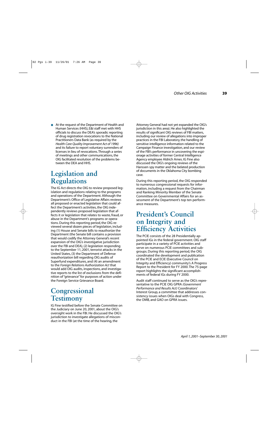◆ At the request of the Department of Health and Human Services (HHS), E&I staff met with HHS officials to discuss the DEA's sporadic reporting of drug registration revocations to the National Practitioners Data Bank (as required by the *Health Care Quality Improvement Act of 1996)* and its failure to report voluntary surrenders of licenses in lieu of revocations.Through a series of meetings and other communications, the OIG facilitated resolution of the problems between the DEA and HHS.

# **Legislation and Regulations**

The IG Act directs the OIG to review proposed legislation and regulations relating to the programs and operations of the Department. Although the Department's Office of Legislative Affairs reviews all proposed or enacted legislation that could affect the Department's activities, the OIG independently reviews proposed legislation that affects it or legislation that relates to waste, fraud, or abuse in the Department's programs or operations. During this reporting period, the OIG reviewed several dozen pieces of legislation, including (1) House and Senate bills to reauthorize the Department (the Senate bill contains a provision that would codify the Attorney General's recent expansion of the OIG's investigative jurisdiction over the FBI and DEA), (2) legislation responding to the September 11, 2001, terrorist attacks in the United States, (3) the Department of Defense reauthorization bill regarding OIG audits of Superfund expenditures, and (4) an amendment to the *Foreign Relations Authorization Act* that would add OIG audits, inspections, and investigative reports to the list of exclusions from the definition of "grievance" for purposes of action under the Foreign Service Grievance Board.

# **Congressional Testimony**

IG Fine testified before the Senate Committee on the Judiciary on June 20, 2001, about the OIG's oversight work in the FBI. He discussed the OIG's jurisdiction to investigate allegations of misconduct in the FBI (at the time of the hearing, the

Attorney General had not yet expanded the OIG's jurisdiction in this area). He also highlighted the results of significant OIG reviews of FBI matters, including our review of allegations into improper practices in the FBI Laboratory, the handling of sensitive intelligence information related to the Campaign Finance investigation, and our review of the FBI's performance in uncovering the espionage activities of former Central Intelligence Agency employee Aldrich Ames. IG Fine also discussed the OIG's ongoing reviews of the Hanssen spy matter and the belated production of documents in the Oklahoma City bombing case.

During this reporting period, the OIG responded to numerous congressional requests for information, including a request from the Chairman and Ranking Minority Member of the Senate Committee on Governmental Affairs for an assessment of the Department's top ten performance measures.

# **President's Council on Integrity and Efficiency Activities**

The PCIE consists of the 28 Presidentially appointed IGs in the federal government. OIG staff participate in a variety of PCIE activities and serve on numerous PCIE committees and subgroups. During this reporting period, the OIG coordinated the development and publication of the PCIE and ECIE (Executive Council on Integrity and Efficiency) community's A Progress Report to the President for FY 2000. The 75-page report highlights the significant accomplishments of federal IGs during FY 2000.

Audit staff continued to serve as the OIG's representative to the PCIE OIG GPRA *(Government Performance and Results Act)* Coordinators' Interest Group, a committee that addresses consistency issues when OIGs deal with Congress, the OMB, and GAO on GPRA issues.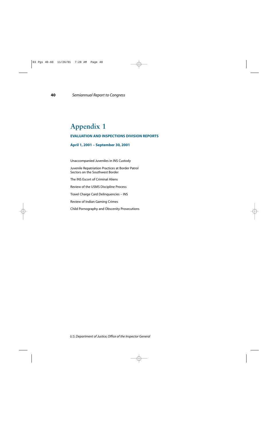# **Appendix 1**

## **EVALUATION AND INSPECTIONS DIVISION REPORTS**

## **April 1, 2001 – September 30, 2001**

Unaccompanied Juveniles in INS Custody

Juvenile Repatriation Practices at Border Patrol Sectors on the Southwest Border

The INS Escort of Criminal Aliens

Review of the USMS Discipline Process

Travel Charge Card Delinquencies – INS

Review of Indian Gaming Crimes

Child Pornography and Obscenity Prosecutions

*U.S. Department of Justice, Office of the Inspector General*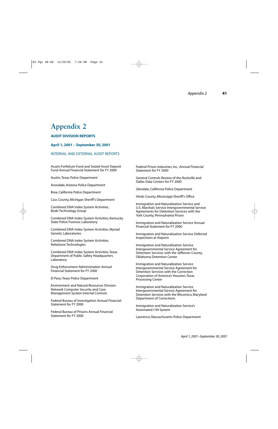# **Appendix 2**

# **AUDIT DIVISION REPORTS**

# **April 1, 2001 – September 30, 2001**

## INTERNAL AND EXTERNAL AUDIT REPORTS

Assets Forfeiture Fund and Seized Asset Deposit Fund Annual Financial Statement for FY 2000

Austin, Texas Police Department

Avondale, Arizona Police Department

Brea, California Police Department

Cass County, Michigan Sheriff's Department

Combined DNA Index System Activities, Bode Technology Group

Combined DNA Index System Activities, Kentucky State Police Forensic Laboratory

Combined DNA Index System Activities, Myriad Genetic Laboratories

Combined DNA Index System Activities, ReliaGene Technologies

Combined DNA Index System Activities, Texas Department of Public Safety Headquarters Laboratory

Drug Enforcement Administration Annual Financial Statement for FY 2000

El Paso, Texas Police Department

Environment and Natural Resources Division Network Computer Security and Case Management System Internal Controls

Federal Bureau of Investigation Annual Financial Statement for FY 2000

Federal Bureau of Prisons Annual Financial Statement for FY 2000

Federal Prison Industries, Inc., Annual Financial Statement for FY 2000

General Controls Review of the Rockville and Dallas Data Centers for FY 2000

Glendale, California Police Department

Hinds County, Mississippi Sheriff's Office

Immigration and Naturalization Service and U.S. Marshals Service Intergovernmental Service Agreements for Detention Services with the York County, Pennsylvania Prison

Immigration and Naturalization Service Annual Financial Statement for FY 2000

Immigration and Naturalization Service Deferred Inspections at Airports

Immigration and Naturalization Service Intergovernmental Service Agreement for Detention Services with the Jefferson County, Oklahoma Detention Center

Immigration and Naturalization Service Intergovernmental Service Agreement for Detention Services with the Correction Corporation of America's Houston, Texas Processing Center

Immigration and Naturalization Service Intergovernmental Service Agreement for Detention Services with the Wicomico, Maryland Department of Corrections

Immigration and Naturalization Service's Automated I-94 System

Lawrence, Massachusetts Police Department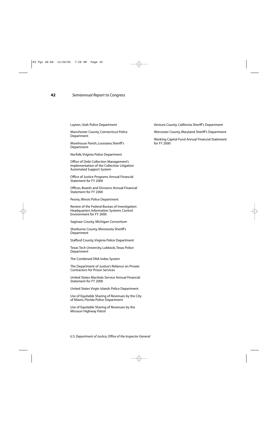Layton, Utah Police Department

Manchester County, Connecticut Police Department

Morehouse Parish, Louisiana Sheriff's Department

Norfolk, Virginia Police Department

Office of Debt Collection Management's Implementation of the Collection Litigation Automated Support System

Office of Justice Programs Annual Financial Statement for FY 2000

Offices, Boards and Divisions Annual Financial Statement for FY 2000

Peoria, Illinois Police Department

Review of the Federal Bureau of Investigation Headquarters Information Systems Control Environment for FY 2000

Saginaw County, Michigan Consortium

Sherburne County, Minnesota Sheriff's Department

Stafford County, Virginia Police Department

Texas Tech University, Lubbock, Texas Police Department

The Combined DNA Index System

The Department of Justice's Reliance on Private Contractors for Prison Services

United States Marshals Service Annual Financial Statement for FY 2000

United States Virgin Islands Police Department

Use of Equitable Sharing of Revenues by the City of Miami, Florida Police Department

Use of Equitable Sharing of Revenues by the Missouri Highway Patrol

Ventura County, California Sheriff's Department

Worcester County, Maryland Sheriff's Department

Working Capital Fund Annual Financial Statement for FY 2000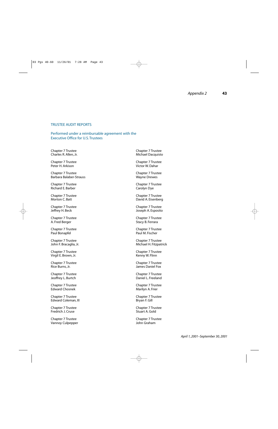## TRUSTEE AUDIT REPORTS

Performed under a reimbursable agreement with the Executive Office for U.S. Trustees

Chapter 7 Trustee Charles R. Allen, Jr.

Chapter 7 Trustee Peter H. Arkison

Chapter 7 Trustee Barbara Balaber-Strauss

Chapter 7 Trustee Richard E. Barber

Chapter 7 Trustee Morton C. Batt

Chapter 7 Trustee Jeffrey H. Beck

Chapter 7 Trustee A. Fred Berger

Chapter 7 Trustee Paul Bonapfel

Chapter 7 Trustee John F. Bracaglia, Jr.

Chapter 7 Trustee Virgil E. Brown, Jr.

Chapter 7 Trustee Rice Burns, Jr.

Chapter 7 Trustee Jeoffrey L. Burtch

Chapter 7 Trustee Edward Chosnek

Chapter 7 Trustee Edward Coleman, III

Chapter 7 Trustee Fredrich J. Cruse

Chapter 7 Trustee Vannoy Culpepper Chapter 7 Trustee Michael Dacquisto

Chapter 7 Trustee Victor W. Dahar

Chapter 7 Trustee Wayne Drewes

Chapter 7 Trustee Carolyn Dye

Chapter 7 Trustee David A. Eisenberg

Chapter 7 Trustee Joseph A. Esposito

Chapter 7 Trustee Stacy B. Ferrara

Chapter 7 Trustee Paul M. Fischer

Chapter 7 Trustee Michael H. Fitzpatrick

Chapter 7 Trustee Kenny W. Flinn

Chapter 7 Trustee James Daniel Fox

Chapter 7 Trustee Daniel L. Freeland

Chapter 7 Trustee Marilyn A. Frier

Chapter 7 Trustee Bryan F. Gill

Chapter 7 Trustee Stuart A. Gold

Chapter 7 Trustee John Graham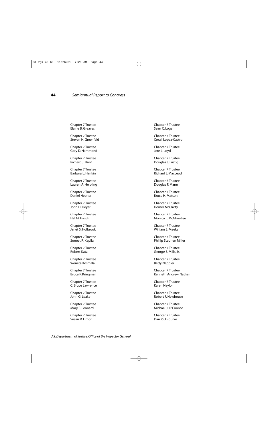Chapter 7 Trustee Elaine B. Greaves

Chapter 7 Trustee Steven H. Greenfeld

Chapter 7 Trustee Gary D. Hammond

Chapter 7 Trustee Richard J. Hanf

Chapter 7 Trustee Barbara L. Hankin

Chapter 7 Trustee Lauren A. Helbling

Chapter 7 Trustee Daniel Hepner

Chapter 7 Trustee John H. Heyer

Chapter 7 Trustee Hal M. Hirsch

Chapter 7 Trustee Janet S. Holbrook

Chapter 7 Trustee Soneet R. Kapila

Chapter 7 Trustee Robert Katz

Chapter 7 Trustee Weneta Kosmala

Chapter 7 Trustee Bruce P. Kriegman

Chapter 7 Trustee C. Bruce Lawrence

Chapter 7 Trustee John G. Leake

Chapter 7 Trustee Mary E. Leonard

Chapter 7 Trustee Susan R. Limor

Chapter 7 Trustee Sean C. Logan

Chapter 7 Trustee Corali Lopez-Castro

Chapter 7 Trustee Jere L. Loyd

Chapter 7 Trustee Douglas J. Lustig

Chapter 7 Trustee Richard J. MacLeod

Chapter 7 Trustee Douglas F. Mann

Chapter 7 Trustee Bruce H. Matson

Chapter 7 Trustee Homer McClarty

Chapter 7 Trustee Monica L. McGhie-Lee

Chapter 7 Trustee William S. Meeks

Chapter 7 Trustee Phillip Stephen Miller

Chapter 7 Trustee George E. Mills, Jr.

Chapter 7 Trustee Betty Nappier

Chapter 7 Trustee Kenneth Andrew Nathan

Chapter 7 Trustee Karen Naylor

Chapter 7 Trustee Robert F. Newhouse

Chapter 7 Trustee Michael J. O'Connor

Chapter 7 Trustee Dan P. O'Rourke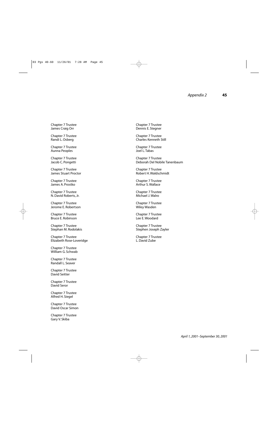Chapter 7 Trustee James Craig Orr

Chapter 7 Trustee Randi L. Osberg

Chapter 7 Trustee Aunna Peoples

Chapter 7 Trustee Jacob C. Pongetti

Chapter 7 Trustee James Stuart Proctor

Chapter 7 Trustee James A. Prostko

Chapter 7 Trustee N. David Roberts, Jr.

Chapter 7 Trustee Jerome E. Robertson

Chapter 7 Trustee Bruce E. Robinson

Chapter 7 Trustee Stephan M. Rodolakis

Chapter 7 Trustee Elizabeth Rose-Loveridge

Chapter 7 Trustee William G. Schwab

Chapter 7 Trustee Randall L. Seaver

Chapter 7 Trustee David Seitter

Chapter 7 Trustee David Seror

Chapter 7 Trustee Alfred H. Siegel

Chapter 7 Trustee David Oscar Simon

Chapter 7 Trustee Gary V. Skiba

Chapter 7 Trustee Dennis E. Stegner

Chapter 7 Trustee Charles Kenneth Still

Chapter 7 Trustee Joel L. Tabas

Chapter 7 Trustee Deborah Del Nobile Tanenbaum

Chapter 7 Trustee Robert H. Waldschmidt

Chapter 7 Trustee Arthur S. Wallace

Chapter 7 Trustee Michael J. Walro

Chapter 7 Trustee Wiley Wasden

Chapter 7 Trustee Lee E. Woodard

Chapter 7 Trustee Stephen Joseph Zayler

Chapter 7 Trustee L. David Zube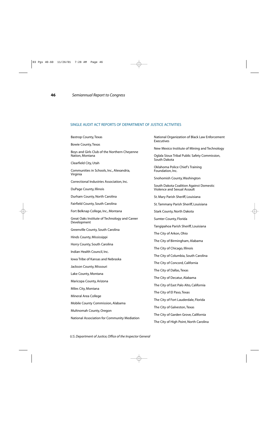## SINGLE AUDIT ACT REPORTS OF DEPARTMENT OF JUSTICE ACTIVITIES

## Bastrop County, Texas

Bowie County, Texas

Boys and Girls Club of the Northern Cheyenne Nation, Montana

Clearfield City, Utah

Communities in Schools, Inc., Alexandria, Virginia

Correctional Industries Association, Inc.

DuPage County, Illinois

Durham County, North Carolina

Fairfield County, South Carolina

Fort Belknap College, Inc., Montana

Great Oaks Institute of Technology and Career Development

Greenville County, South Carolina

Hinds County, Mississippi

Horry County, South Carolina

Indian Health Council, Inc.

Iowa Tribe of Kansas and Nebraska

Jackson County, Missouri

Lake County, Montana

Maricopa County, Arizona

Miles City, Montana

Mineral Area College

Mobile County Commission, Alabama

Multnomah County, Oregon

National Association for Community Mediation

National Organization of Black Law Enforcement Executives

New Mexico Institute of Mining and Technology

Oglala Sioux Tribal Public Safety Commission, South Dakota

Oklahoma Police Chief's Training Foundation, Inc.

Snohomish County, Washington

South Dakota Coalition Against Domestic Violence and Sexual Assault

St. Mary Parish Sheriff, Louisiana

St. Tammany Parish Sheriff, Louisiana

Stark County, North Dakota

Sumter County, Florida

Tangipahoa Parish Sheriff, Louisiana

The City of Arkon, Ohio

The City of Birmingham, Alabama

The City of Chicago, Illinois

The City of Columbia, South Carolina

The City of Concord, California

The City of Dallas, Texas

The City of Decatur, Alabama

The City of East Palo Alto, California

The City of El Paso, Texas

The City of Fort Lauderdale, Florida

The City of Galveston, Texas

The City of Garden Grove, California

The City of High Point, North Carolina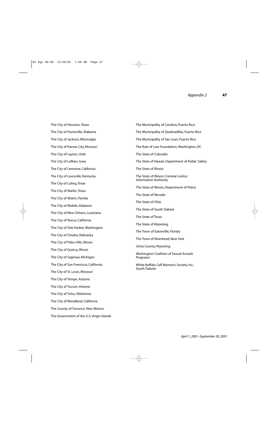The City of Houston, Texas The City of Huntsville, Alabama The City of Jackson, Mississippi The City of Kansas City, Missouri The City of Layton, Utah The City of LeMars, Iowa The City of Lemoore, California The City of Louisville, Kentucky The City of Luling, Texas The City of Marlin, Texas The City of Miami, Florida The City of Mobile, Alabama The City of New Orleans, Louisiana The City of Norco, California The City of Oak Harbor, Washington The City of Omaha, Nebraska The City of Palos Hills, Illinois The City of Quincy, Illinois The City of Saginaw, Michigan The City of San Francisco, California The City of St. Louis, Missouri The City of Tempe, Arizona The City of Tucson, Arizona The City of Tulsa, Oklahoma The City of Woodland, California The County of Torrance, New Mexico The Government of the U.S. Virgin Islands The Municipality of Carolina, Puerto Rico The Municipality of Quebradillas, Puerto Rico The Municipality of San Juan, Puerto Rico The Rule of Law Foundation, Washington, DC The State of Colorado The State of Hawaii, Department of Public Safety The State of Illinois The State of Illinois Criminal Justice Information Authority The State of Illinois, Department of Police The State of Nevada The State of Ohio The State of South Dakota The State of Texas The State of Wyoming The Town of Eatonville, Florida The Town of Riverhead, New York Uinta County, Wyoming Washington Coalition of Sexual Assault Programs White Buffalo Calf Woman's Society, Inc., South Dakota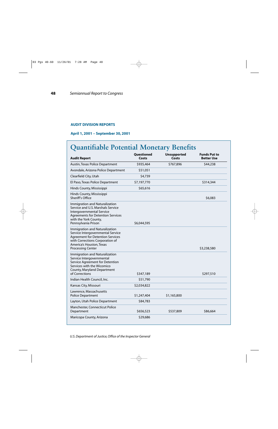## **AUDIT DIVISION REPORTS**

# **April 1, 2001 – September 30, 2001**

# **Quantifiable Potential Monetary Benefits**

| <b>Audit Report</b>                                                                                                                                                                                       | Questioned<br>Costs | <b>Unsupported</b><br>Costs | <b>Funds Put to</b><br><b>Better Use</b> |
|-----------------------------------------------------------------------------------------------------------------------------------------------------------------------------------------------------------|---------------------|-----------------------------|------------------------------------------|
| Austin, Texas Police Department                                                                                                                                                                           | \$935,464           | \$767,896                   | \$44,238                                 |
| Avondale, Arizona Police Department                                                                                                                                                                       | \$51,051            |                             |                                          |
| Clearfield City, Utah                                                                                                                                                                                     | \$4,739             |                             |                                          |
| El Paso, Texas Police Department                                                                                                                                                                          | \$7,197,770         |                             | \$314,344                                |
| Hinds County, Mississippi                                                                                                                                                                                 | \$65,616            |                             |                                          |
| Hinds County, Mississippi<br><b>Sheriff's Office</b>                                                                                                                                                      |                     |                             | \$6,083                                  |
| Immigration and Naturalization<br>Service and U.S. Marshals Service<br>Intergovernmental Service<br><b>Agreements for Detention Services</b><br>with the York County,<br>Pennsylvania Prison              | \$6,044,595         |                             |                                          |
| Immigration and Naturalization<br>Service Intergovernmental Service<br><b>Agreement for Detention Services</b><br>with Corrections Corporation of<br>America's Houston, Texas<br><b>Processing Center</b> |                     |                             | \$3,238,580                              |
| Immigration and Naturalization<br>Service Intergovernmental<br>Service Agreement for Detention<br>Services with the Wicomico<br>County, Maryland Department<br>of Corrections                             | \$347,189           |                             | \$297,510                                |
| Indian Health Council, Inc.                                                                                                                                                                               | \$51,790            |                             |                                          |
| Kansas City, Missouri                                                                                                                                                                                     | \$2,034,822         |                             |                                          |
| Lawrence, Massachusetts<br><b>Police Department</b>                                                                                                                                                       | \$1,247,404         | \$1,165,800                 |                                          |
| Layton, Utah Police Department                                                                                                                                                                            | \$84,783            |                             |                                          |
| Manchester, Connecticut Police<br>Department                                                                                                                                                              | \$656,523           | \$537,809                   | \$86,664                                 |
| Maricopa County, Arizona                                                                                                                                                                                  | \$29,686            |                             |                                          |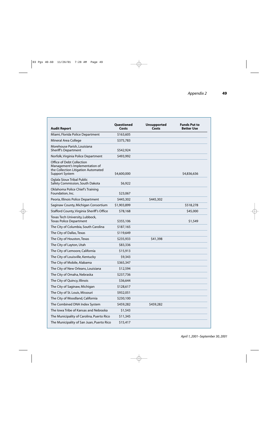| <b>Audit Report</b>                                                                                                  | Questioned<br><b>Costs</b> | <b>Unsupported</b><br>Costs | <b>Funds Put to</b><br><b>Better Use</b> |
|----------------------------------------------------------------------------------------------------------------------|----------------------------|-----------------------------|------------------------------------------|
| Miami, Florida Police Department                                                                                     | \$163,605                  |                             |                                          |
| Mineral Area College                                                                                                 | \$375,783                  |                             |                                          |
| Morehouse Parish, Louisiana<br><b>Sheriff's Department</b>                                                           | \$542,924                  |                             |                                          |
| Norfolk, Virginia Police Department                                                                                  | \$493,992                  |                             |                                          |
| Office of Debt Collection<br>Management's Implementation of<br>the Collection Litigation Automated<br>Support System | \$4,600,000                |                             | \$4,836,636                              |
| Oglala Sioux Tribal Public<br>Safety Commission, South Dakota                                                        | \$6,922                    |                             |                                          |
| Oklahoma Police Chief's Training<br>Foundation, Inc.                                                                 | \$23,067                   |                             |                                          |
| Peoria, Illinois Police Department                                                                                   | \$445,302                  | \$445,302                   |                                          |
| Saginaw County, Michigan Consortium                                                                                  | \$1,903,899                |                             | \$518,278                                |
| Stafford County, Virginia Sheriff's Office                                                                           | \$78,168                   |                             | \$45,000                                 |
| Texas Tech University, Lubbock,<br><b>Texas Police Department</b>                                                    | \$355,106                  |                             | \$1,549                                  |
| The City of Columbia, South Carolina                                                                                 | \$187,165                  |                             |                                          |
| The City of Dallas, Texas                                                                                            | \$119,649                  |                             |                                          |
| The City of Houston, Texas                                                                                           | \$235,933                  | \$41,398                    |                                          |
| The City of Layton, Utah                                                                                             | \$83,336                   |                             |                                          |
| The City of Lemoore, California                                                                                      | \$15,913                   |                             |                                          |
| The City of Louisville, Kentucky                                                                                     | \$9,343                    |                             |                                          |
| The City of Mobile, Alabama                                                                                          | \$365,347                  |                             |                                          |
| The City of New Orleans, Louisiana                                                                                   | \$12,594                   |                             |                                          |
| The City of Omaha, Nebraska                                                                                          | \$237,736                  |                             |                                          |
| The City of Quincy, Illinois                                                                                         | \$36,644                   |                             |                                          |
| The City of Saginaw, Michigan                                                                                        | \$128,617                  |                             |                                          |
| The City of St. Louis, Missouri                                                                                      | \$932,051                  |                             |                                          |
| The City of Woodland, California                                                                                     | \$230,100                  |                             |                                          |
| The Combined DNA Index System                                                                                        | \$459,282                  | \$459,282                   |                                          |
| The Iowa Tribe of Kansas and Nebraska                                                                                | \$1,543                    |                             |                                          |
| The Municipality of Carolina, Puerto Rico                                                                            | \$11,345                   |                             |                                          |
| The Municipality of San Juan, Puerto Rico                                                                            | \$15,417                   |                             |                                          |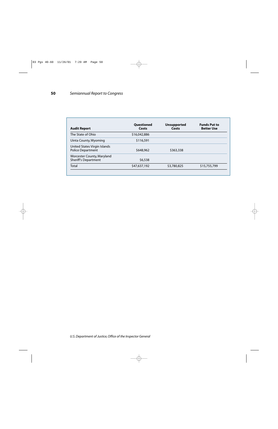| <b>Audit Report</b>                                      | Questioned<br>Costs | <b>Unsupported</b><br>Costs | <b>Funds Put to</b><br><b>Better Use</b> |
|----------------------------------------------------------|---------------------|-----------------------------|------------------------------------------|
| The State of Ohio                                        | \$16,042,886        |                             |                                          |
| Uinta County, Wyoming                                    | \$116,591           |                             |                                          |
| United States Virgin Islands<br><b>Police Department</b> | \$648,962           | \$363,338                   |                                          |
| Worcester County, Maryland<br>Sheriff's Department       | \$6,538             |                             |                                          |
| Total                                                    | \$47,637,192        | \$3,780,825                 | \$15,755,799                             |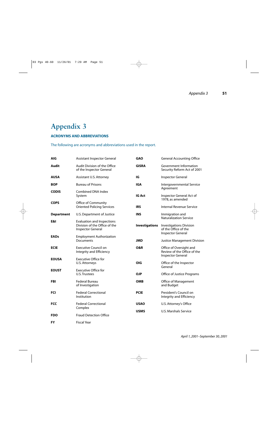# **Appendix 3**

# **ACRONYMS AND ABBREVIATIONS**

The following are acronyms and abbreviations used in the report.

| <b>AIG</b>        | <b>Assistant Inspector General</b>                                                             | <b>GAO</b>            | <b>General Accounting Office</b>                                            |
|-------------------|------------------------------------------------------------------------------------------------|-----------------------|-----------------------------------------------------------------------------|
| <b>Audit</b>      | Audit Division of the Office<br>of the Inspector General                                       | <b>GISRA</b>          | Government Information<br>Security Reform Act of 2001                       |
| <b>AUSA</b>       | Assistant U.S. Attorney                                                                        | IG                    | <b>Inspector General</b>                                                    |
| <b>BOP</b>        | <b>Bureau of Prisons</b>                                                                       | <b>IGA</b>            | Intergovernmental Service<br>Agreement                                      |
| <b>CODIS</b>      | <b>Combined DNA Index</b><br>System                                                            | <b>IG Act</b>         | Inspector General Act of<br>1978, as amended                                |
| <b>COPS</b>       | <b>Office of Community</b><br><b>Oriented Policing Services</b>                                | <b>IRS</b>            | <b>Internal Revenue Service</b>                                             |
| <b>Department</b> | U.S. Department of Justice                                                                     | <b>INS</b>            | Immigration and<br><b>Naturalization Service</b>                            |
| E&I               | <b>Evaluation and Inspections</b><br>Division of the Office of the<br><b>Inspector General</b> | <b>Investigations</b> | <b>Investigations Division</b><br>of the Office of the<br>Inspector General |
| <b>EADs</b>       | <b>Employment Authorization</b><br>Documents                                                   | <b>JMD</b>            | Justice Management Division                                                 |
| <b>ECIE</b>       | <b>Executive Council on</b><br>Integrity and Efficiency                                        | <b>O&amp;R</b>        | Office of Oversight and<br>Review of the Office of the<br>Inspector General |
| <b>EOUSA</b>      | <b>Executive Office for</b><br>U.S. Attorneys                                                  | OIG                   | Office of the Inspector<br>General                                          |
| <b>EOUST</b>      | <b>Executive Office for</b><br>U.S. Trustees                                                   | <b>OJP</b>            | Office of Justice Programs                                                  |
| <b>FBI</b>        | Federal Bureau<br>of Investigation                                                             | <b>OMB</b>            | Office of Management<br>and Budget                                          |
| FCI               | <b>Federal Correctional</b><br>Institution                                                     | <b>PCIE</b>           | President's Council on<br>Integrity and Efficiency                          |
| <b>FCC</b>        | <b>Federal Correctional</b>                                                                    | <b>USAO</b>           | U.S. Attorney's Office                                                      |
|                   | Complex                                                                                        | <b>USMS</b>           | <b>U.S. Marshals Service</b>                                                |
| <b>FDO</b>        | <b>Fraud Detection Office</b>                                                                  |                       |                                                                             |
| FY                | <b>Fiscal Year</b>                                                                             |                       |                                                                             |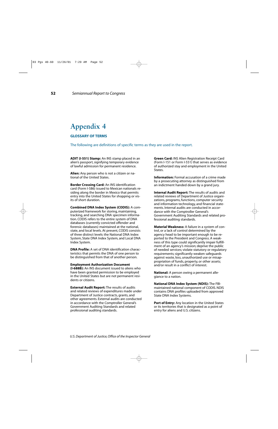# **Appendix 4**

## **GLOSSARY OF TERMS**

The following are definitions of specific terms as they are used in the report.

**ADIT (I-551) Stamp:** An INS stamp placed in an alien's passport, signifying temporary evidence of lawful admission for permanent residence.

**Alien:** Any person who is not a citizen or national of the United States.

**Border Crossing Card:** An INS identification card (Form I-586) issued to Mexican nationals residing along the border in Mexico that permits entry into the United States for shopping or visits of short duration.

**Combined DNA Index System (CODIS):** A computerized framework for storing, maintaining, tracking, and searching DNA specimen information. CODIS refers to the entire system of DNA databases (currently convicted offender and forensic databases) maintained at the national, state, and local levels. At present, CODIS consists of three distinct levels: the National DNA Index System, State DNA Index System, and Local DNA Index System.

**DNA Profile:** A set of DNA identification characteristics that permits the DNA of one person to be distinguished from that of another person.

#### **Employment Authorization Document**

**(I-688B):** An INS document issued to aliens who have been granted permission to be employed in the United States but are not permanent residents or citizens.

**External Audit Report:** The results of audits and related reviews of expenditures made under Department of Justice contracts, grants, and other agreements. External audits are conducted in accordance with the Comptroller General's Government Auditing Standards and related professional auditing standards.

**Green Card:** INS Alien Registration Receipt Card (Form I-151 or Form I-551) that serves as evidence of authorized stay and employment in the United States.

**Information:** Formal accusation of a crime made by a prosecuting attorney as distinguished from an indictment handed down by a grand jury.

**Internal Audit Report:** The results of audits and related reviews of Department of Justice organizations, programs, functions, computer security and information technology, and financial statements. Internal audits are conducted in accordance with the Comptroller General's Government Auditing Standards and related professional auditing standards.

**Material Weakness:** A failure in a system of control, or a lack of control determined by the agency head to be important enough to be reported to the President and Congress. A weakness of this type could significantly impair fulfillment of an agency's mission; deprive the public of needed services; violate statutory or regulatory requirements; significantly weaken safeguards against waste, loss, unauthorized use or misappropriation of funds, property, or other assets; and/or result in a conflict of interest.

**National:** A person owing a permanent allegiance to a nation.

**National DNA Index System (NDIS):** The FBImaintained national component of CODIS. NDIS contains DNA profiles uploaded from approved State DNA Index Systems.

**Port of Entry:** Any location in the United States or its territories that is designated as a point of entry for aliens and U.S. citizens.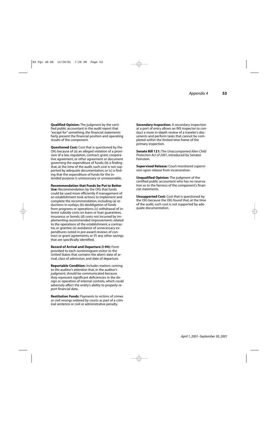**Qualified Opinion:** The judgment by the certified public accountant in the audit report that "except for" something, the financial statements fairly present the financial position and operating results of the component.

**Questioned Cost:** Cost that is questioned by the OIG because of (a) an alleged violation of a provision of a law, regulation, contract, grant, cooperative agreement, or other agreement or document governing the expenditure of funds; (b) a finding that, at the time of the audit, such cost is not supported by adequate documentation; or (c) a finding that the expenditure of funds for the intended purpose is unnecessary or unreasonable.

**Recommendation that Funds be Put to Better Use:** Recommendation by the OIG that funds could be used more efficiently if management of an establishment took actions to implement and complete the recommendation, including (a) reductions in outlays; (b) deobligation of funds from programs or operations; (c) withdrawal of interest subsidy costs on loans or loan guarantees, insurance, or bonds; (d) costs not incurred by implementing recommended improvements related to the operations of the establishment, a contractor, or grantee; (e) avoidance of unnecessary expenditures noted in pre-award reviews of contract or grant agreements; or (f) any other savings that are specifically identified.

**Record of Arrival and Departure (I-94):** Form provided to each nonimmigrant visitor to the United States that contains the alien's date of arrival, class of admission, and date of departure.

**Reportable Condition:** Includes matters coming to the auditor's attention that, in the auditor's judgment, should be communicated because they represent significant deficiencies in the design or operation of internal controls, which could adversely affect the entity's ability to properly report financial data.

**Restitution Funds:** Payments to victims of crimes or civil wrongs ordered by courts as part of a criminal sentence or civil or administrative penalty.

**Secondary Inspection:** A secondary inspection at a port of entry allows an INS inspector to conduct a more in-depth review of a traveler's documents and perform tasks that cannot be completed within the limited time frame of the primary inspection.

**Senate Bill 121:** The *Unaccompanied Alien Child Protection Act of 2001*, introduced by Senator Feinstein.

**Supervised Release:** Court-monitored supervision upon release from incarceration.

**Unqualified Opinion:** The judgment of the certified public accountant who has no reservation as to the fairness of the component's financial statements.

**Unsupported Cost:** Cost that is questioned by the OIG because the OIG found that, at the time of the audit, such cost is not supported by adequate documentation.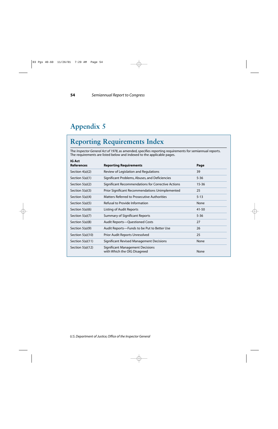# **Appendix 5**

# **Reporting Requirements Index**

The *Inspector General Act of 1978*, as amended, specifies reporting requirements for semiannual reports. The requirements are listed below and indexed to the applicable pages.

| IG Act<br><b>References</b> | <b>Reporting Requirements</b>                                           | Page        |
|-----------------------------|-------------------------------------------------------------------------|-------------|
| Section $4(a)(2)$           | Review of Legislation and Regulations                                   | 39          |
| Section $5(a)(1)$           | Significant Problems, Abuses, and Deficiencies                          | $5 - 36$    |
| Section $5(a)(2)$           | Significant Recommendations for Corrective Actions                      | $15 - 36$   |
| Section $5(a)(3)$           | Prior Significant Recommendations Unimplemented                         | 25          |
| Section $5(a)(4)$           | Matters Referred to Prosecutive Authorities                             | $5 - 13$    |
| Section $5(a)(5)$           | Refusal to Provide Information                                          | <b>None</b> |
| Section $5(a)(6)$           | Listing of Audit Reports                                                | $41 - 50$   |
| Section $5(a)(7)$           | <b>Summary of Significant Reports</b>                                   | $5 - 36$    |
| Section $5(a)(8)$           | Audit Reports-Questioned Costs                                          | 27          |
| Section 5(a)(9)             | Audit Reports-Funds to be Put to Better Use                             | 26          |
| Section $5(a)(10)$          | Prior Audit Reports Unresolved                                          | 25          |
| Section $5(a)(11)$          | <b>Significant Revised Management Decisions</b>                         | None        |
| Section $5(a)(12)$          | <b>Significant Management Decisions</b><br>with Which the OIG Disagreed | None        |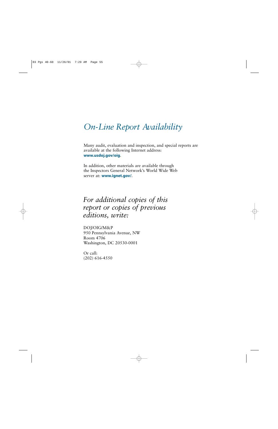# *On-Line Report Availability*

Many audit, evaluation and inspection, and special reports are available at the following Internet address: **www.usdoj.gov/oig**.

In addition, other materials are available through the Inspectors General Network's World Wide Web server at: **www.ignet.gov/**.

# *For additional copies of this report or copies of previous editions, write:*

DOJ/OIG/M&P 950 Pennsylvania Avenue, NW Room 4706 Washington, DC 20530-0001

Or call: (202) 616-4550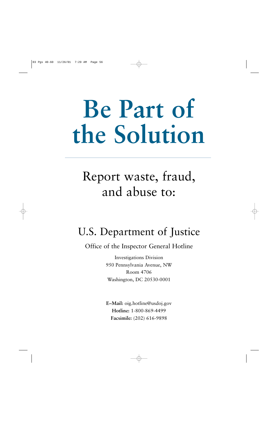# **Be Part of the Solution**

# Report waste, fraud, and abuse to:

# U.S. Department of Justice

Office of the Inspector General Hotline

Investigations Division 950 Pennsylvania Avenue, NW Room 4706 Washington, DC 20530-0001

**E–Mail:** oig.hotline@usdoj.gov **Hotline:** 1-800-869-4499 **Facsimile:** (202) 616-9898